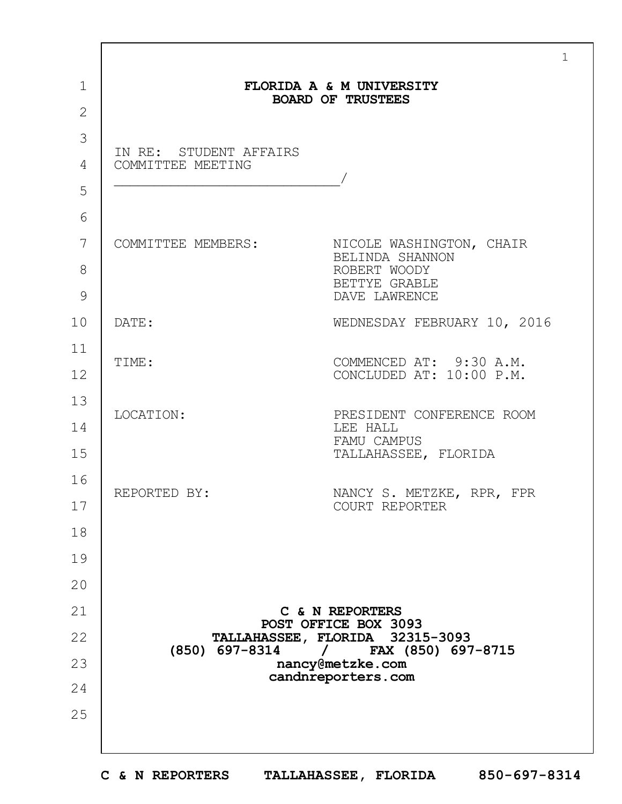|                                             | FLORIDA A & M UNIVERSITY                                                     |
|---------------------------------------------|------------------------------------------------------------------------------|
|                                             | <b>BOARD OF TRUSTEES</b>                                                     |
| IN RE: STUDENT AFFAIRS<br>COMMITTEE MEETING |                                                                              |
|                                             | COMMITTEE MEMBERS: NICOLE WASHINGTON, CHAIR                                  |
|                                             | BELINDA SHANNON<br>ROBERT WOODY<br>BETTYE GRABLE<br>DAVE LAWRENCE            |
| DATE:                                       | WEDNESDAY FEBRUARY 10, 2016                                                  |
| TIME:                                       | COMMENCED AT: 9:30 A.M.<br>CONCLUDED AT: 10:00 P.M.                          |
| LOCATION:                                   | PRESIDENT CONFERENCE ROOM<br>LEE HALL<br>FAMU CAMPUS<br>TALLAHASSEE, FLORIDA |
| REPORTED BY:                                | NANCY S. METZKE, RPR, FPR<br>COURT REPORTER                                  |
|                                             |                                                                              |
|                                             |                                                                              |
|                                             | C & N REPORTERS                                                              |
|                                             | POST OFFICE BOX 3093<br>TALLAHASSEE, FLORIDA 32315-3093                      |
| (850) 697-8314                              | $/$ FAX (850) 697-8715<br>nancy@metzke.com                                   |
|                                             | candnreporters.com                                                           |
|                                             |                                                                              |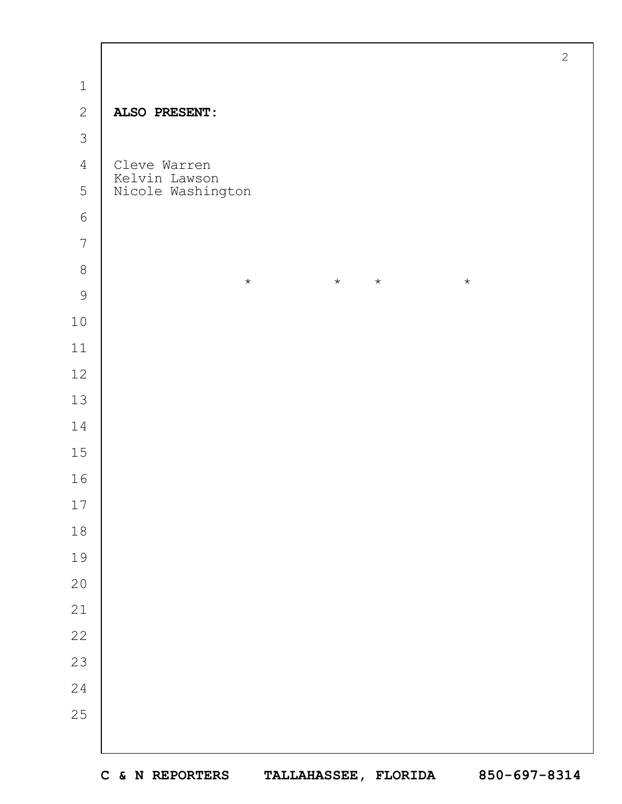|                | $\mathbf{2}$                             |  |
|----------------|------------------------------------------|--|
| $\,1\,$        |                                          |  |
| $\mathbf{2}$   | ALSO PRESENT:                            |  |
| $\mathfrak{Z}$ |                                          |  |
| $\overline{4}$ | Cleve Warren                             |  |
| 5              | Kelvin Lawson<br>Nicole Washington       |  |
| $\epsilon$     |                                          |  |
| $\overline{7}$ |                                          |  |
| $\,8\,$        | $\star$<br>$\star$<br>$\star$<br>$\star$ |  |
| 9              |                                          |  |
| $10$           |                                          |  |
| $11\,$         |                                          |  |
| 12             |                                          |  |
| $13$           |                                          |  |
| $14$           |                                          |  |
| 15             |                                          |  |
| 16             |                                          |  |
| 17             |                                          |  |
| $18$           |                                          |  |
| 19             |                                          |  |
| 20             |                                          |  |
| 21             |                                          |  |
| 22             |                                          |  |
| 23             |                                          |  |
| 24             |                                          |  |
| 25             |                                          |  |
|                |                                          |  |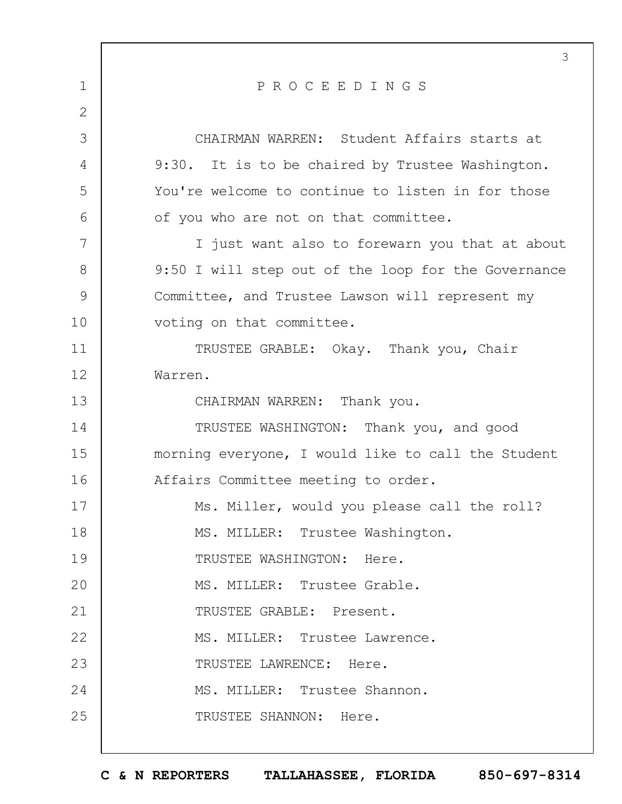|                | 3                                                   |
|----------------|-----------------------------------------------------|
| $\mathbf 1$    | PROCEEDINGS                                         |
| $\overline{2}$ |                                                     |
| 3              | CHAIRMAN WARREN: Student Affairs starts at          |
| 4              | 9:30. It is to be chaired by Trustee Washington.    |
| 5              | You're welcome to continue to listen in for those   |
| 6              | of you who are not on that committee.               |
| 7              | I just want also to forewarn you that at about      |
| 8              | 9:50 I will step out of the loop for the Governance |
| 9              | Committee, and Trustee Lawson will represent my     |
| 10             | voting on that committee.                           |
| 11             | TRUSTEE GRABLE: Okay. Thank you, Chair              |
| 12             | Warren.                                             |
| 13             | CHAIRMAN WARREN: Thank you.                         |
| 14             | TRUSTEE WASHINGTON: Thank you, and good             |
| 15             | morning everyone, I would like to call the Student  |
| 16             | Affairs Committee meeting to order.                 |
| 17             | Ms. Miller, would you please call the roll?         |
| 18             | MS. MILLER: Trustee Washington.                     |
| 19             | TRUSTEE WASHINGTON: Here.                           |
| 20             | MS. MILLER: Trustee Grable.                         |
| 21             | TRUSTEE GRABLE: Present.                            |
| 22             | MS. MILLER: Trustee Lawrence.                       |
| 23             | TRUSTEE LAWRENCE: Here.                             |
| 24             | MS. MILLER: Trustee Shannon.                        |
| 25             | TRUSTEE SHANNON: Here.                              |
|                |                                                     |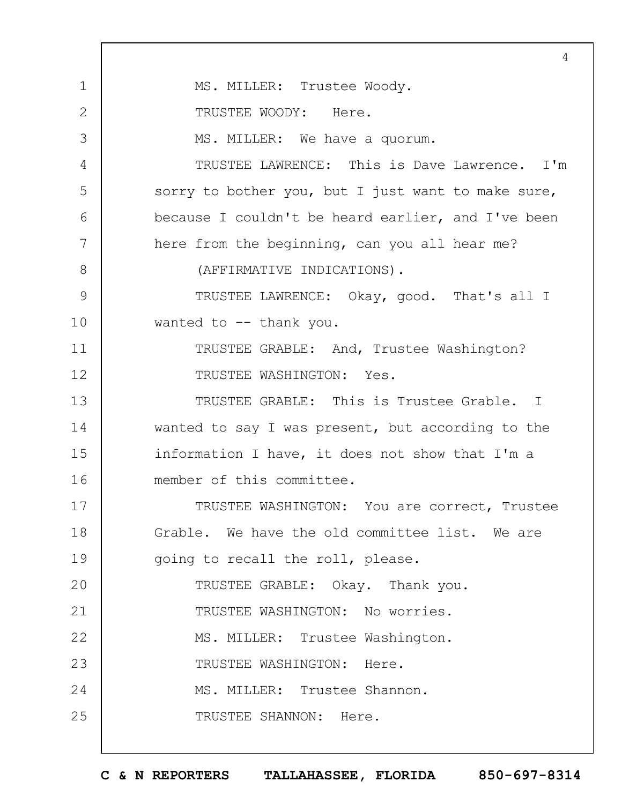1 2 3 4 5 6 7 8 9 10 11 12 13 14 15 16 17 18 19  $20$ 21 22 23 24 25 4 MS. MILLER: Trustee Woody. TRUSTEE WOODY: Here. MS. MILLER: We have a quorum. TRUSTEE LAWRENCE: This is Dave Lawrence. I'm sorry to bother you, but I just want to make sure, because I couldn't be heard earlier, and I've been here from the beginning, can you all hear me? (AFFIRMATIVE INDICATIONS). TRUSTEE LAWRENCE: Okay, good. That's all I wanted to -- thank you. TRUSTEE GRABLE: And, Trustee Washington? TRUSTEE WASHINGTON: Yes. TRUSTEE GRABLE: This is Trustee Grable. I wanted to say I was present, but according to the information I have, it does not show that I'm a member of this committee. TRUSTEE WASHINGTON: You are correct, Trustee Grable. We have the old committee list. We are going to recall the roll, please. TRUSTEE GRABLE: Okay. Thank you. TRUSTEE WASHINGTON: No worries. MS. MILLER: Trustee Washington. TRUSTEE WASHINGTON: Here. MS. MILLER: Trustee Shannon. TRUSTEE SHANNON: Here.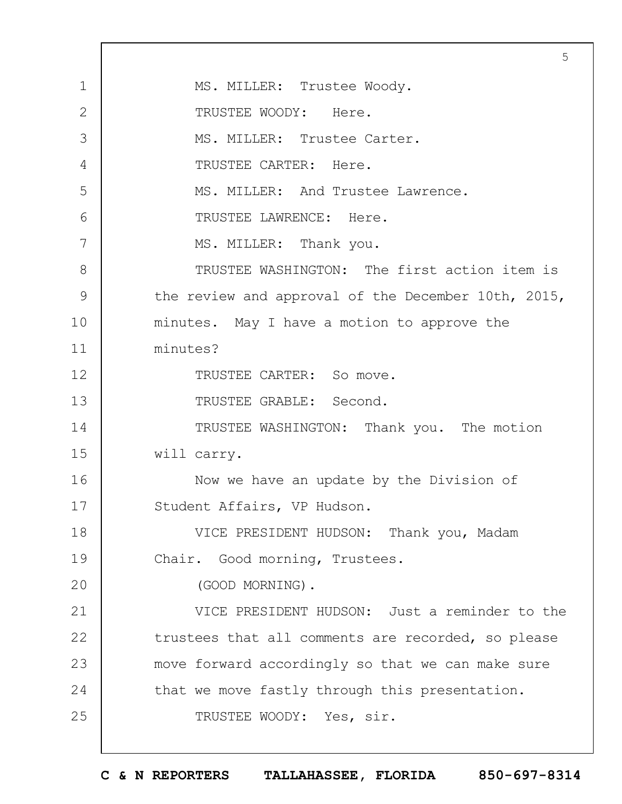1 2 3 4 5 6 7 8 9 10 11 12 13 14 15 16 17 18 19  $20$ 21 22 23 24 25 5 MS. MILLER: Trustee Woody. TRUSTEE WOODY: Here. MS. MILLER: Trustee Carter. TRUSTEE CARTER: Here. MS. MILLER: And Trustee Lawrence. TRUSTEE LAWRENCE: Here. MS. MILLER: Thank you. TRUSTEE WASHINGTON: The first action item is the review and approval of the December 10th, 2015, minutes. May I have a motion to approve the minutes? TRUSTEE CARTER: So move. TRUSTEE GRABLE: Second. TRUSTEE WASHINGTON: Thank you. The motion will carry. Now we have an update by the Division of Student Affairs, VP Hudson. VICE PRESIDENT HUDSON: Thank you, Madam Chair. Good morning, Trustees. (GOOD MORNING). VICE PRESIDENT HUDSON: Just a reminder to the trustees that all comments are recorded, so please move forward accordingly so that we can make sure that we move fastly through this presentation. TRUSTEE WOODY: Yes, sir.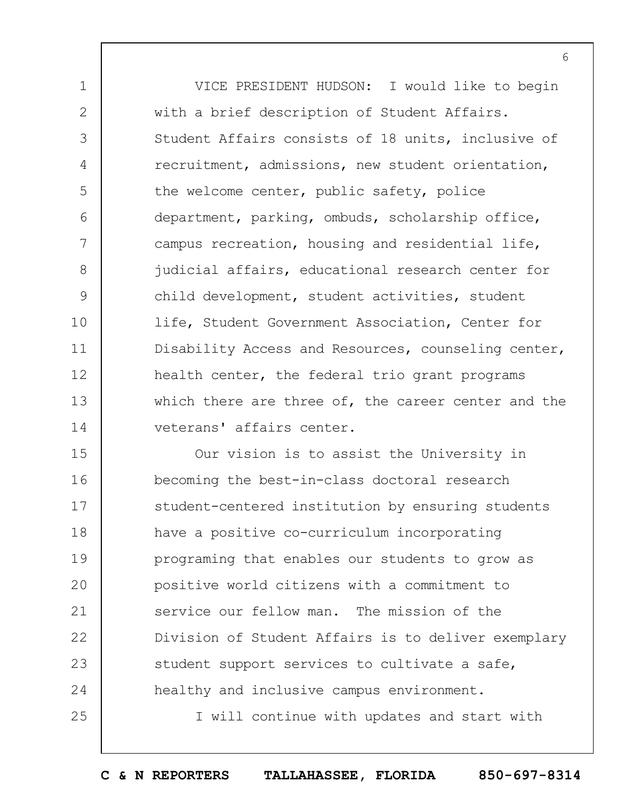1 2 3 4 5 6 7 8 9 10 11 12 13 14 VICE PRESIDENT HUDSON: I would like to begin with a brief description of Student Affairs. Student Affairs consists of 18 units, inclusive of recruitment, admissions, new student orientation, the welcome center, public safety, police department, parking, ombuds, scholarship office, campus recreation, housing and residential life, judicial affairs, educational research center for child development, student activities, student life, Student Government Association, Center for Disability Access and Resources, counseling center, health center, the federal trio grant programs which there are three of, the career center and the veterans' affairs center.

15 16 17 18 19  $20$ 21 22 23 24 Our vision is to assist the University in becoming the best-in-class doctoral research student-centered institution by ensuring students have a positive co-curriculum incorporating programing that enables our students to grow as positive world citizens with a commitment to service our fellow man. The mission of the Division of Student Affairs is to deliver exemplary student support services to cultivate a safe, healthy and inclusive campus environment.

25

I will continue with updates and start with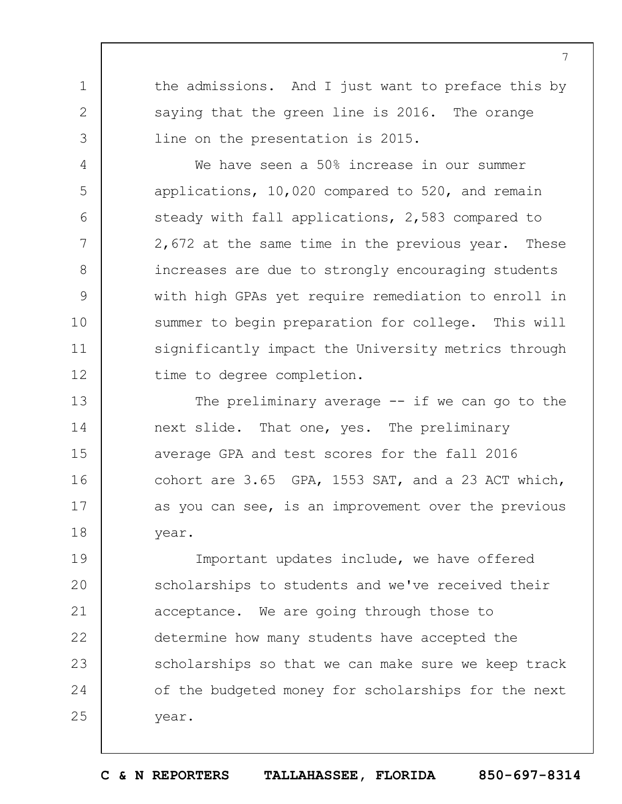the admissions. And I just want to preface this by saying that the green line is 2016. The orange line on the presentation is 2015.

1

2

3

4

5

6

7

8

9

10

11

12

We have seen a 50% increase in our summer applications, 10,020 compared to 520, and remain steady with fall applications, 2,583 compared to 2,672 at the same time in the previous year. These increases are due to strongly encouraging students with high GPAs yet require remediation to enroll in summer to begin preparation for college. This will significantly impact the University metrics through time to degree completion.

13 14 15 16 17 18 The preliminary average  $-$  if we can go to the next slide. That one, yes. The preliminary average GPA and test scores for the fall 2016 cohort are 3.65 GPA, 1553 SAT, and a 23 ACT which, as you can see, is an improvement over the previous year.

19  $20$ 21 22 23 24 25 Important updates include, we have offered scholarships to students and we've received their acceptance. We are going through those to determine how many students have accepted the scholarships so that we can make sure we keep track of the budgeted money for scholarships for the next year.

**C & N REPORTERS TALLAHASSEE, FLORIDA 850-697-8314**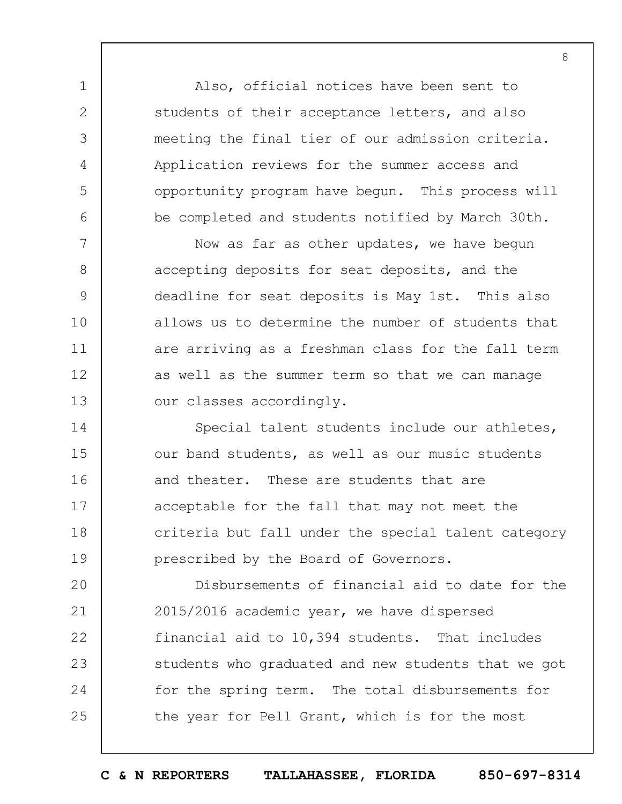Also, official notices have been sent to students of their acceptance letters, and also meeting the final tier of our admission criteria. Application reviews for the summer access and opportunity program have begun. This process will be completed and students notified by March 30th.

1

2

3

4

5

6

7 8 9 10 11 12 13 Now as far as other updates, we have begun accepting deposits for seat deposits, and the deadline for seat deposits is May 1st. This also allows us to determine the number of students that are arriving as a freshman class for the fall term as well as the summer term so that we can manage our classes accordingly.

14 15 16 17 18 19 Special talent students include our athletes, our band students, as well as our music students and theater. These are students that are acceptable for the fall that may not meet the criteria but fall under the special talent category prescribed by the Board of Governors.

 $20$ 21 22 23 24 25 Disbursements of financial aid to date for the 2015/2016 academic year, we have dispersed financial aid to 10,394 students. That includes students who graduated and new students that we got for the spring term. The total disbursements for the year for Pell Grant, which is for the most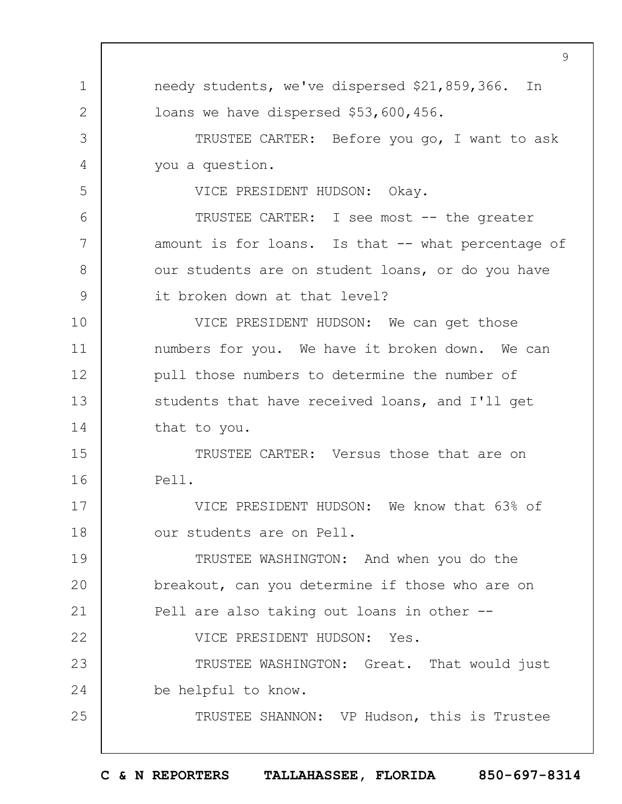1 2 3 4 5 6 7 8 9 10 11 12 13 14 15 16 17 18 19  $20$ 21 22 23 24 25 9 needy students, we've dispersed \$21,859,366. In loans we have dispersed \$53,600,456. TRUSTEE CARTER: Before you go, I want to ask you a question. VICE PRESIDENT HUDSON: Okay. TRUSTEE CARTER: I see most -- the greater amount is for loans. Is that -- what percentage of our students are on student loans, or do you have it broken down at that level? VICE PRESIDENT HUDSON: We can get those numbers for you. We have it broken down. We can pull those numbers to determine the number of students that have received loans, and I'll get that to you. TRUSTEE CARTER: Versus those that are on Pell. VICE PRESIDENT HUDSON: We know that 63% of our students are on Pell. TRUSTEE WASHINGTON: And when you do the breakout, can you determine if those who are on Pell are also taking out loans in other --VICE PRESIDENT HUDSON: Yes. TRUSTEE WASHINGTON: Great. That would just be helpful to know. TRUSTEE SHANNON: VP Hudson, this is Trustee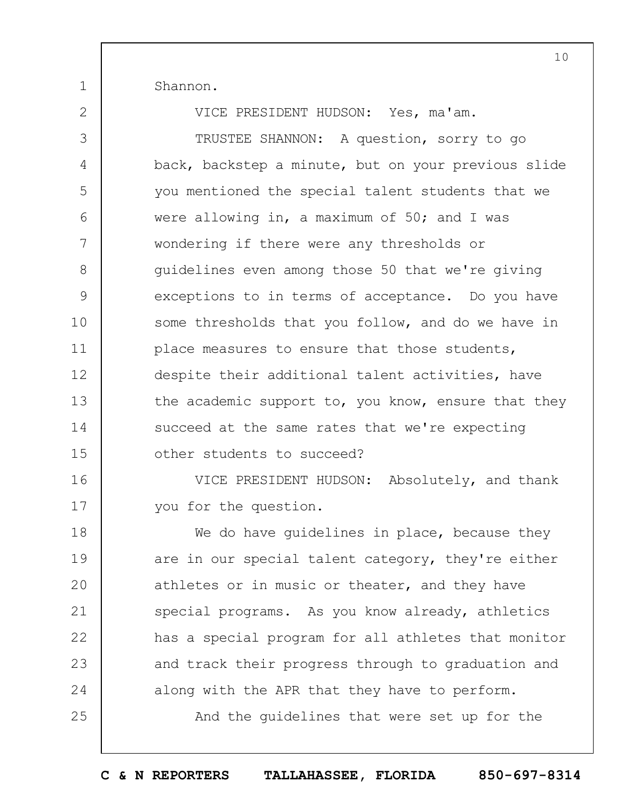Shannon.

1

2

16

17

VICE PRESIDENT HUDSON: Yes, ma'am.

3 4 5 6 7 8 9 10 11 12 13 14 15 TRUSTEE SHANNON: A question, sorry to go back, backstep a minute, but on your previous slide you mentioned the special talent students that we were allowing in, a maximum of 50; and I was wondering if there were any thresholds or guidelines even among those 50 that we're giving exceptions to in terms of acceptance. Do you have some thresholds that you follow, and do we have in place measures to ensure that those students, despite their additional talent activities, have the academic support to, you know, ensure that they succeed at the same rates that we're expecting other students to succeed?

VICE PRESIDENT HUDSON: Absolutely, and thank you for the question.

18 19  $20$ 21 22 23 24 25 We do have quidelines in place, because they are in our special talent category, they're either athletes or in music or theater, and they have special programs. As you know already, athletics has a special program for all athletes that monitor and track their progress through to graduation and along with the APR that they have to perform.

And the guidelines that were set up for the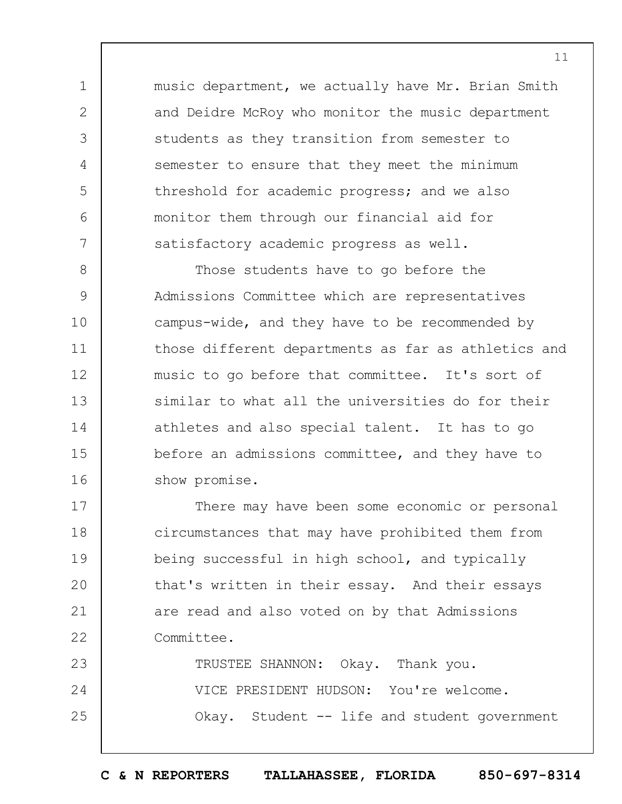music department, we actually have Mr. Brian Smith and Deidre McRoy who monitor the music department students as they transition from semester to semester to ensure that they meet the minimum threshold for academic progress; and we also monitor them through our financial aid for satisfactory academic progress as well.

1

2

3

4

5

6

7

8 9 10 11 12 13 14 15 16 Those students have to go before the Admissions Committee which are representatives campus-wide, and they have to be recommended by those different departments as far as athletics and music to go before that committee. It's sort of similar to what all the universities do for their athletes and also special talent. It has to go before an admissions committee, and they have to show promise.

17 18 19  $20$ 21 22 There may have been some economic or personal circumstances that may have prohibited them from being successful in high school, and typically that's written in their essay. And their essays are read and also voted on by that Admissions Committee.

23 24 25 TRUSTEE SHANNON: Okay. Thank you. VICE PRESIDENT HUDSON: You're welcome. Okay. Student -- life and student government

11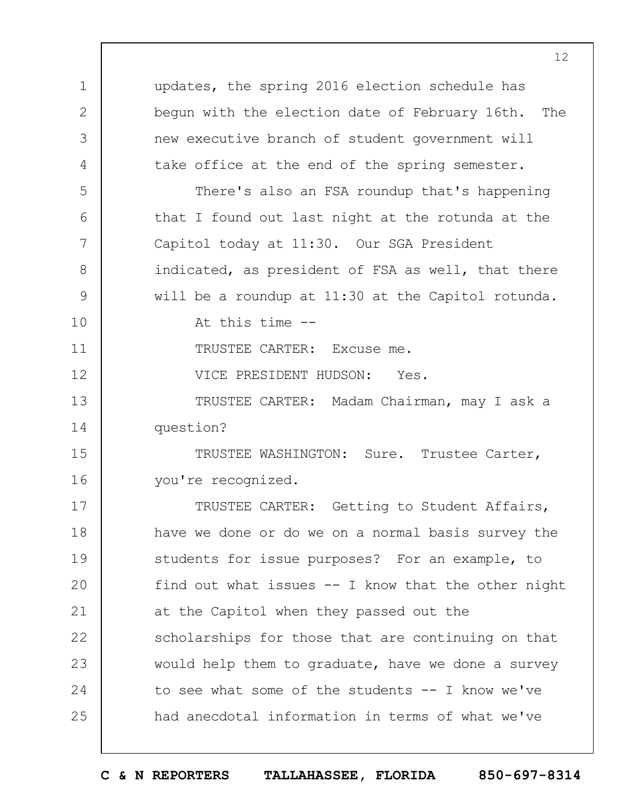1 2 3 4 5 6 7 8 9 10 11 12 13 14 15 16 17 18 19  $20$ 21 22 23 24 25 updates, the spring 2016 election schedule has begun with the election date of February 16th. The new executive branch of student government will take office at the end of the spring semester. There's also an FSA roundup that's happening that I found out last night at the rotunda at the Capitol today at 11:30. Our SGA President indicated, as president of FSA as well, that there will be a roundup at 11:30 at the Capitol rotunda. At this time -- TRUSTEE CARTER: Excuse me. VICE PRESIDENT HUDSON: Yes. TRUSTEE CARTER: Madam Chairman, may I ask a question? TRUSTEE WASHINGTON: Sure. Trustee Carter, you're recognized. TRUSTEE CARTER: Getting to Student Affairs, have we done or do we on a normal basis survey the students for issue purposes? For an example, to find out what issues  $--$  I know that the other night at the Capitol when they passed out the scholarships for those that are continuing on that would help them to graduate, have we done a survey to see what some of the students -- I know we've had anecdotal information in terms of what we've

**C & N REPORTERS TALLAHASSEE, FLORIDA 850-697-8314**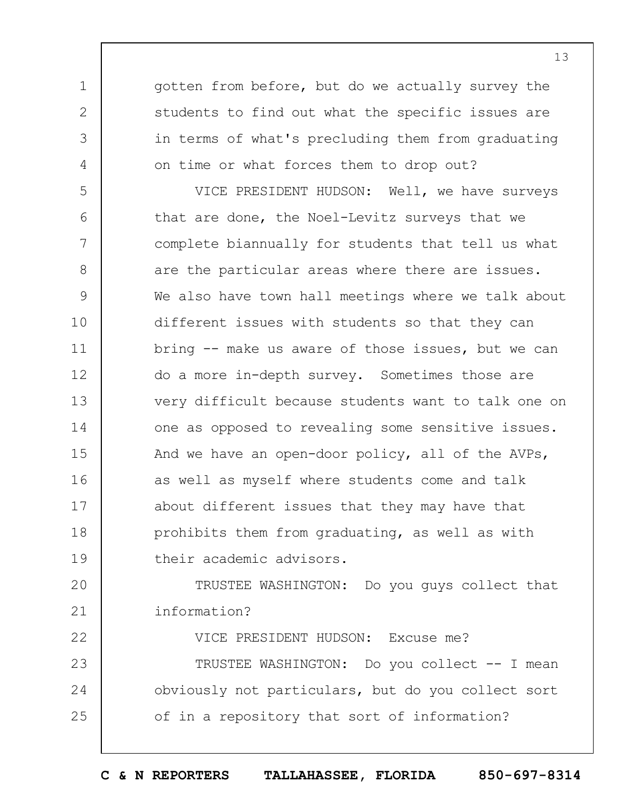gotten from before, but do we actually survey the students to find out what the specific issues are in terms of what's precluding them from graduating on time or what forces them to drop out?

1

2

3

4

22

5 6 7 8 9 10 11 12 13 14 15 16 17 18 19 VICE PRESIDENT HUDSON: Well, we have surveys that are done, the Noel-Levitz surveys that we complete biannually for students that tell us what are the particular areas where there are issues. We also have town hall meetings where we talk about different issues with students so that they can bring -- make us aware of those issues, but we can do a more in-depth survey. Sometimes those are very difficult because students want to talk one on one as opposed to revealing some sensitive issues. And we have an open-door policy, all of the AVPs, as well as myself where students come and talk about different issues that they may have that prohibits them from graduating, as well as with their academic advisors.

 $20$ 21 TRUSTEE WASHINGTON: Do you guys collect that information?

VICE PRESIDENT HUDSON: Excuse me?

23 24 25 TRUSTEE WASHINGTON: Do you collect -- I mean obviously not particulars, but do you collect sort of in a repository that sort of information?

**C & N REPORTERS TALLAHASSEE, FLORIDA 850-697-8314**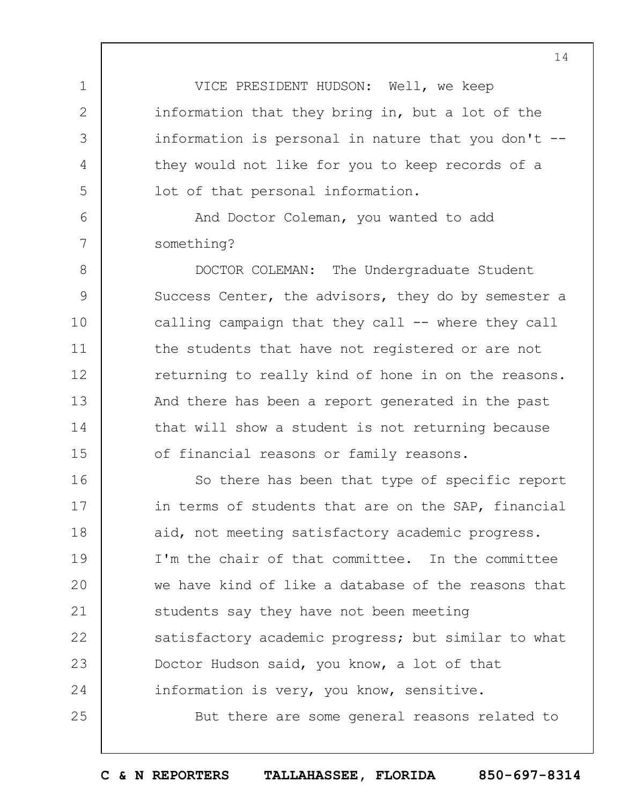VICE PRESIDENT HUDSON: Well, we keep information that they bring in, but a lot of the information is personal in nature that you don't - they would not like for you to keep records of a lot of that personal information.

And Doctor Coleman, you wanted to add something?

1

2

3

4

5

 $6\overline{6}$ 

7

8 9 10 11 12 13 14 15 DOCTOR COLEMAN: The Undergraduate Student Success Center, the advisors, they do by semester a calling campaign that they call -- where they call the students that have not registered or are not returning to really kind of hone in on the reasons. And there has been a report generated in the past that will show a student is not returning because of financial reasons or family reasons.

16 17 18 19  $20$ 21 22 23 24 25 So there has been that type of specific report in terms of students that are on the SAP, financial aid, not meeting satisfactory academic progress. I'm the chair of that committee. In the committee we have kind of like a database of the reasons that students say they have not been meeting satisfactory academic progress; but similar to what Doctor Hudson said, you know, a lot of that information is very, you know, sensitive. But there are some general reasons related to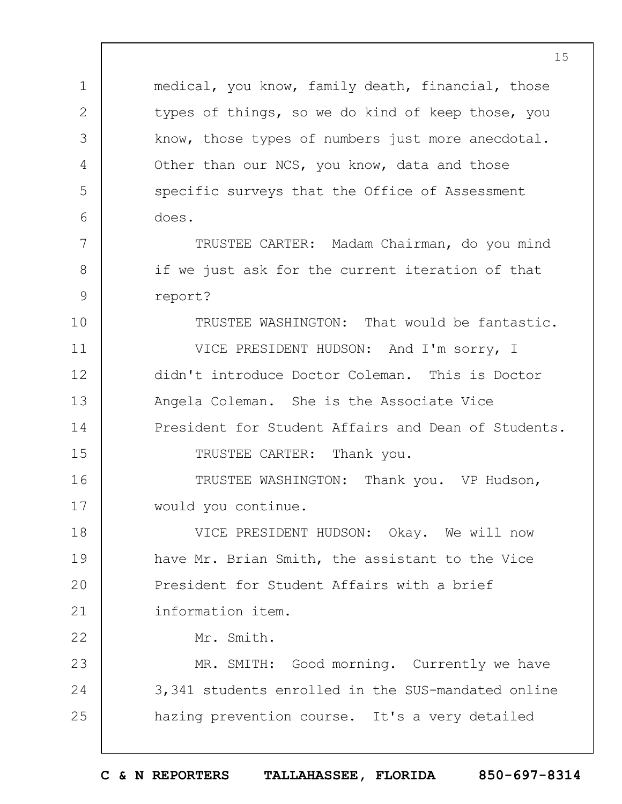1 2 3 4 5  $6 \overline{6}$ 7 8 9 10 11 12 13 14 15 16 17 18 19  $20$ 21 22 23 24 25 medical, you know, family death, financial, those types of things, so we do kind of keep those, you know, those types of numbers just more anecdotal. Other than our NCS, you know, data and those specific surveys that the Office of Assessment does. TRUSTEE CARTER: Madam Chairman, do you mind if we just ask for the current iteration of that report? TRUSTEE WASHINGTON: That would be fantastic. VICE PRESIDENT HUDSON: And I'm sorry, I didn't introduce Doctor Coleman. This is Doctor Angela Coleman. She is the Associate Vice President for Student Affairs and Dean of Students. TRUSTEE CARTER: Thank you. TRUSTEE WASHINGTON: Thank you. VP Hudson, would you continue. VICE PRESIDENT HUDSON: Okay. We will now have Mr. Brian Smith, the assistant to the Vice President for Student Affairs with a brief information item. Mr. Smith. MR. SMITH: Good morning. Currently we have 3,341 students enrolled in the SUS-mandated online hazing prevention course. It's a very detailed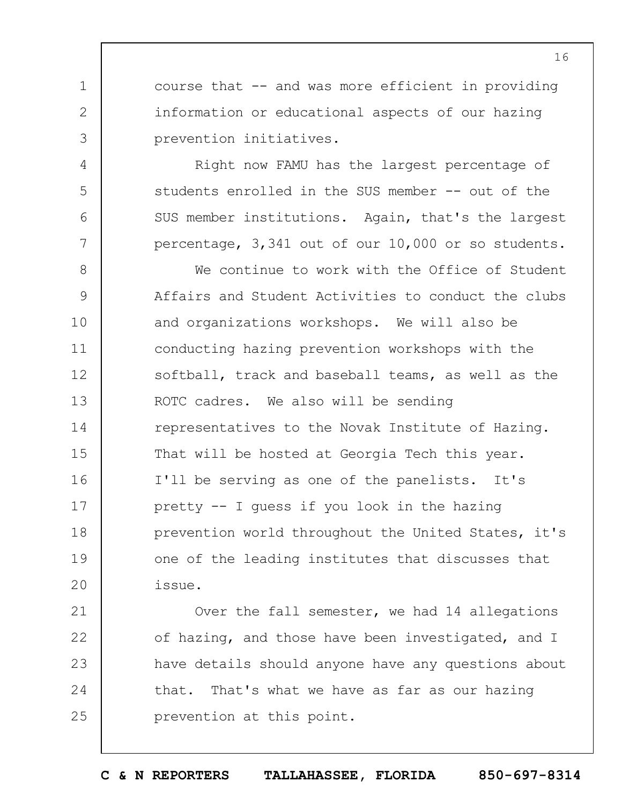course that -- and was more efficient in providing information or educational aspects of our hazing prevention initiatives.

1

2

3

4

5

6

7

21

22

23

24

25

Right now FAMU has the largest percentage of students enrolled in the SUS member -- out of the SUS member institutions. Again, that's the largest percentage, 3,341 out of our 10,000 or so students.

8 9 10 11 12 13 14 15 16 17 18 19  $20$ We continue to work with the Office of Student Affairs and Student Activities to conduct the clubs and organizations workshops. We will also be conducting hazing prevention workshops with the softball, track and baseball teams, as well as the ROTC cadres. We also will be sending representatives to the Novak Institute of Hazing. That will be hosted at Georgia Tech this year. I'll be serving as one of the panelists. It's pretty -- I guess if you look in the hazing prevention world throughout the United States, it's one of the leading institutes that discusses that issue.

Over the fall semester, we had 14 allegations of hazing, and those have been investigated, and I have details should anyone have any questions about that. That's what we have as far as our hazing prevention at this point.

16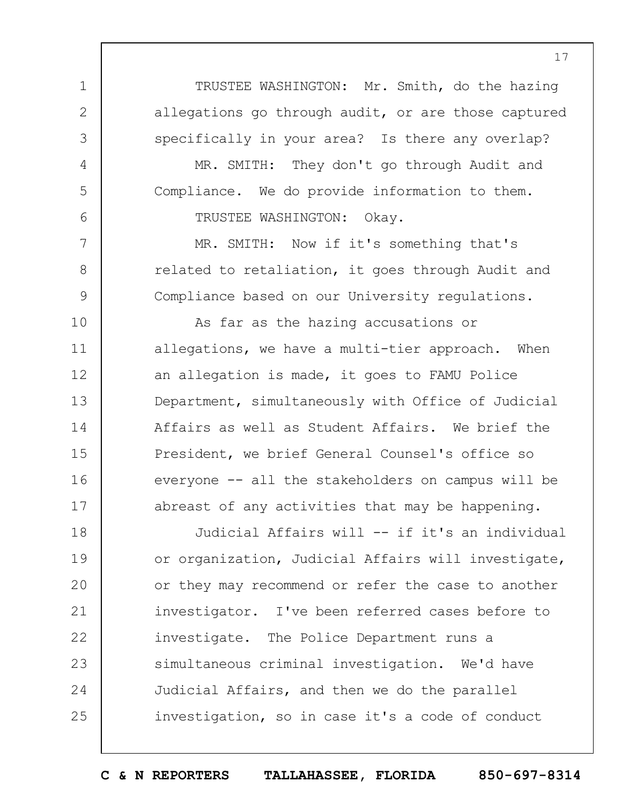TRUSTEE WASHINGTON: Mr. Smith, do the hazing allegations go through audit, or are those captured specifically in your area? Is there any overlap?

MR. SMITH: They don't go through Audit and Compliance. We do provide information to them. TRUSTEE WASHINGTON: Okay.

1

2

3

4

5

6

7

8

9

MR. SMITH: Now if it's something that's related to retaliation, it goes through Audit and Compliance based on our University regulations.

10 11 12 13 14 15 16 17 As far as the hazing accusations or allegations, we have a multi-tier approach. When an allegation is made, it goes to FAMU Police Department, simultaneously with Office of Judicial Affairs as well as Student Affairs. We brief the President, we brief General Counsel's office so everyone -- all the stakeholders on campus will be abreast of any activities that may be happening.

18 19  $20$ 21 22 23 24 25 Judicial Affairs will -- if it's an individual or organization, Judicial Affairs will investigate, or they may recommend or refer the case to another investigator. I've been referred cases before to investigate. The Police Department runs a simultaneous criminal investigation. We'd have Judicial Affairs, and then we do the parallel investigation, so in case it's a code of conduct

**C & N REPORTERS TALLAHASSEE, FLORIDA 850-697-8314**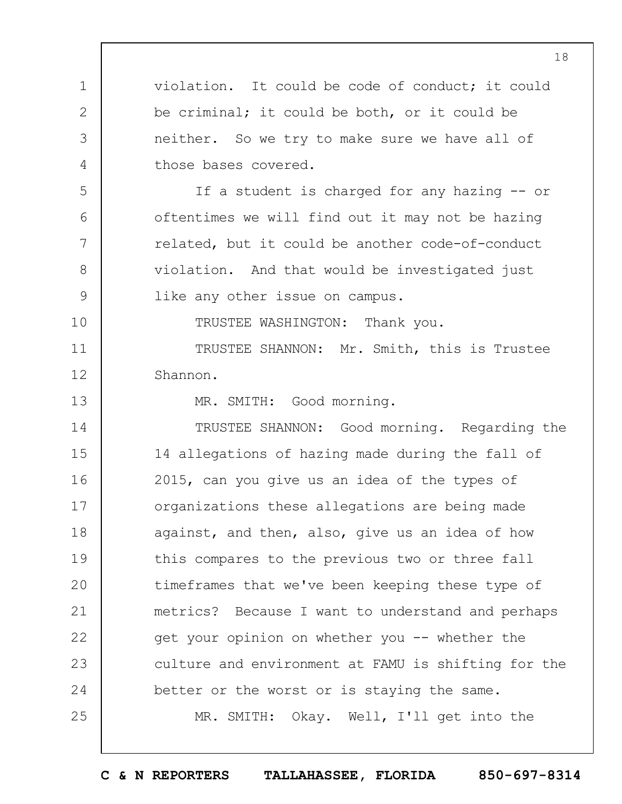1 2 3 4 5 6 7 8 9 10 11 12 13 14 15 16 17 18 19  $20$ 21 22 23 24 25 violation. It could be code of conduct; it could be criminal; it could be both, or it could be neither. So we try to make sure we have all of those bases covered. If a student is charged for any hazing -- or oftentimes we will find out it may not be hazing related, but it could be another code-of-conduct violation. And that would be investigated just like any other issue on campus. TRUSTEE WASHINGTON: Thank you. TRUSTEE SHANNON: Mr. Smith, this is Trustee Shannon. MR. SMITH: Good morning. TRUSTEE SHANNON: Good morning. Regarding the 14 allegations of hazing made during the fall of 2015, can you give us an idea of the types of organizations these allegations are being made against, and then, also, give us an idea of how this compares to the previous two or three fall timeframes that we've been keeping these type of metrics? Because I want to understand and perhaps get your opinion on whether you -- whether the culture and environment at FAMU is shifting for the better or the worst or is staying the same. MR. SMITH: Okay. Well, I'll get into the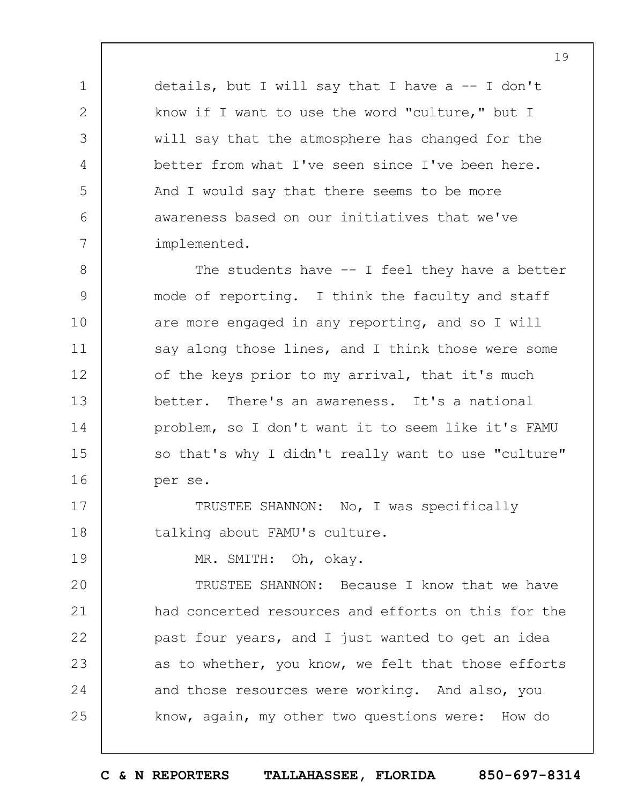details, but I will say that I have a  $-$  I don't know if I want to use the word "culture," but I will say that the atmosphere has changed for the better from what I've seen since I've been here. And I would say that there seems to be more awareness based on our initiatives that we've implemented.

1

2

3

4

5

6

7

19

8 9 10 11 12 13 14 15 16 The students have -- I feel they have a better mode of reporting. I think the faculty and staff are more engaged in any reporting, and so I will say along those lines, and I think those were some of the keys prior to my arrival, that it's much better. There's an awareness. It's a national problem, so I don't want it to seem like it's FAMU so that's why I didn't really want to use "culture" per se.

17 18 TRUSTEE SHANNON: No, I was specifically talking about FAMU's culture.

MR. SMITH: Oh, okay.

 $20$ 21 22 23 24 25 TRUSTEE SHANNON: Because I know that we have had concerted resources and efforts on this for the past four years, and I just wanted to get an idea as to whether, you know, we felt that those efforts and those resources were working. And also, you know, again, my other two questions were: How do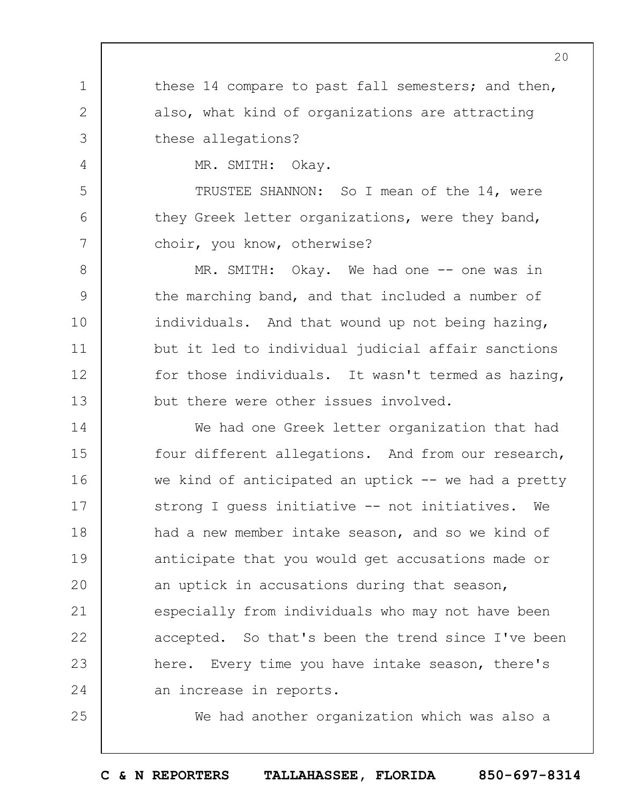1 2 3 4 5 6 7 8 9 10 11 12 13 14 15 16 17 18 19  $20$ these 14 compare to past fall semesters; and then, also, what kind of organizations are attracting these allegations? MR. SMITH: Okay. TRUSTEE SHANNON: So I mean of the 14, were they Greek letter organizations, were they band, choir, you know, otherwise? MR. SMITH: Okay. We had one -- one was in the marching band, and that included a number of individuals. And that wound up not being hazing, but it led to individual judicial affair sanctions for those individuals. It wasn't termed as hazing, but there were other issues involved. We had one Greek letter organization that had four different allegations. And from our research, we kind of anticipated an uptick  $-$  we had a pretty strong I guess initiative -- not initiatives. We had a new member intake season, and so we kind of anticipate that you would get accusations made or an uptick in accusations during that season,

especially from individuals who may not have been accepted. So that's been the trend since I've been here. Every time you have intake season, there's an increase in reports.

21

22

23

24

25

We had another organization which was also a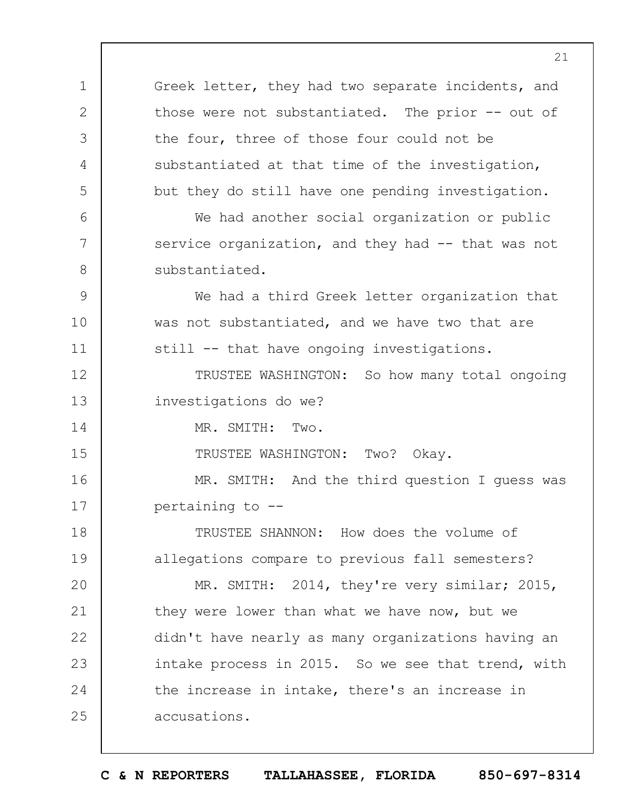1 2 3 4 5 6 7 8 9 10 11 12 13 14 15 16 17 18 19  $20$ 21 22 23 24 25 Greek letter, they had two separate incidents, and those were not substantiated. The prior -- out of the four, three of those four could not be substantiated at that time of the investigation, but they do still have one pending investigation. We had another social organization or public service organization, and they had -- that was not substantiated. We had a third Greek letter organization that was not substantiated, and we have two that are still -- that have ongoing investigations. TRUSTEE WASHINGTON: So how many total ongoing investigations do we? MR. SMITH: Two. TRUSTEE WASHINGTON: Two? Okay. MR. SMITH: And the third question I guess was pertaining to -- TRUSTEE SHANNON: How does the volume of allegations compare to previous fall semesters? MR. SMITH: 2014, they're very similar; 2015, they were lower than what we have now, but we didn't have nearly as many organizations having an intake process in 2015. So we see that trend, with the increase in intake, there's an increase in accusations.

21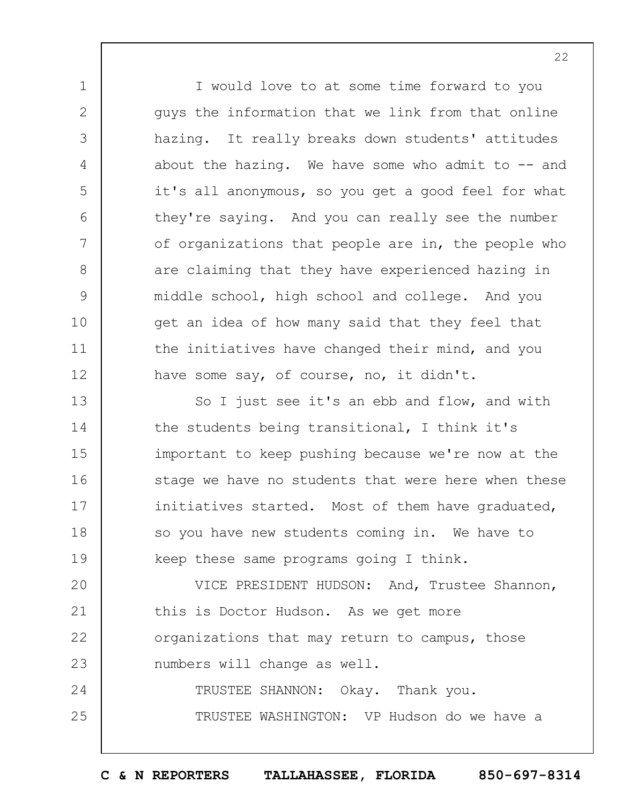I would love to at some time forward to you guys the information that we link from that online hazing. It really breaks down students' attitudes about the hazing. We have some who admit to  $-$  and it's all anonymous, so you get a good feel for what they're saying. And you can really see the number of organizations that people are in, the people who are claiming that they have experienced hazing in middle school, high school and college. And you get an idea of how many said that they feel that the initiatives have changed their mind, and you have some say, of course, no, it didn't.

1

2

3

4

5

6

7

8

9

10

11

12

25

13 14 15 16 17 18 19 So I just see it's an ebb and flow, and with the students being transitional, I think it's important to keep pushing because we're now at the stage we have no students that were here when these initiatives started. Most of them have graduated, so you have new students coming in. We have to keep these same programs going I think.

 $20$ 21 22 23 24 VICE PRESIDENT HUDSON: And, Trustee Shannon, this is Doctor Hudson. As we get more organizations that may return to campus, those numbers will change as well. TRUSTEE SHANNON: Okay. Thank you.

TRUSTEE WASHINGTON: VP Hudson do we have a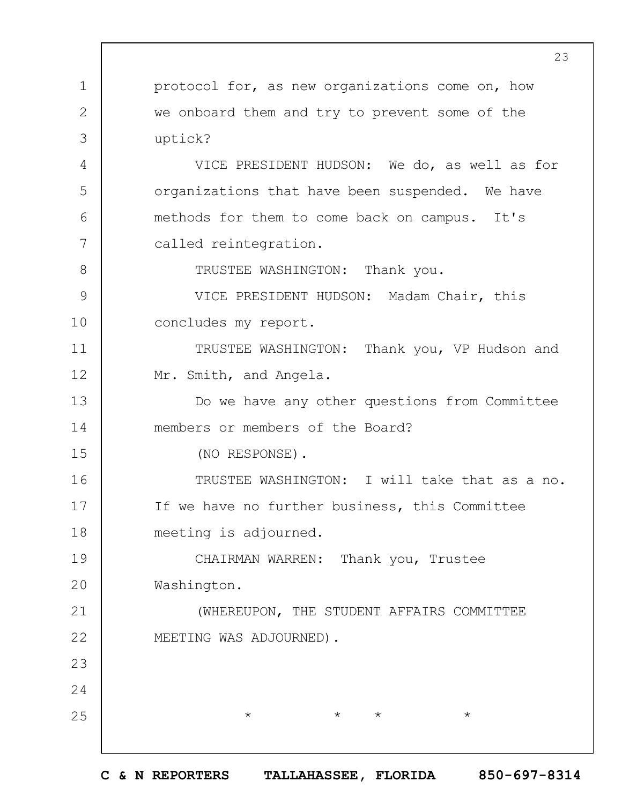1 2 3 4 5 6 7 8 9 10 11 12 13 14 15 16 17 18 19  $20$ 21 22 23 24 25 23 protocol for, as new organizations come on, how we onboard them and try to prevent some of the uptick? VICE PRESIDENT HUDSON: We do, as well as for organizations that have been suspended. We have methods for them to come back on campus. It's called reintegration. TRUSTEE WASHINGTON: Thank you. VICE PRESIDENT HUDSON: Madam Chair, this concludes my report. TRUSTEE WASHINGTON: Thank you, VP Hudson and Mr. Smith, and Angela. Do we have any other questions from Committee members or members of the Board? (NO RESPONSE). TRUSTEE WASHINGTON: I will take that as a no. If we have no further business, this Committee meeting is adjourned. CHAIRMAN WARREN: Thank you, Trustee Washington. (WHEREUPON, THE STUDENT AFFAIRS COMMITTEE MEETING WAS ADJOURNED).  $\star$   $\star$   $\star$   $\star$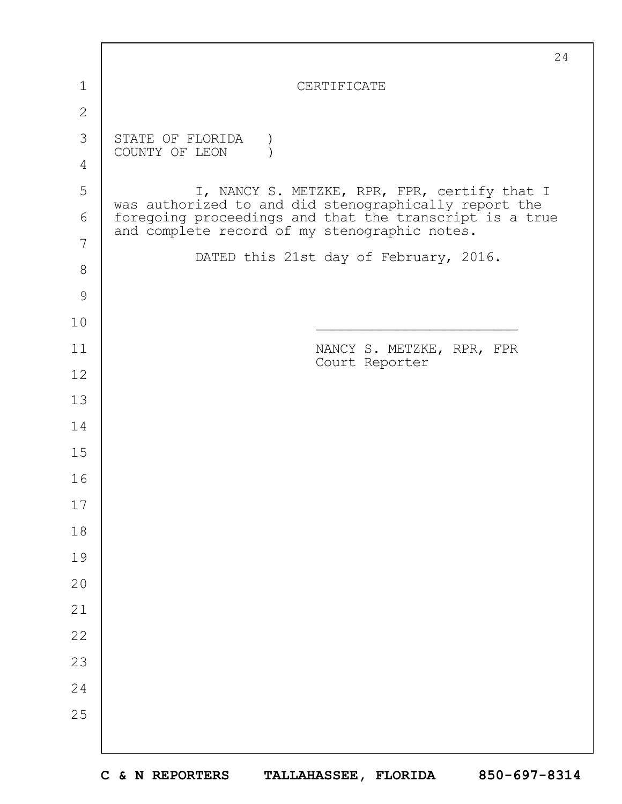|               | 24                                                                                                       |
|---------------|----------------------------------------------------------------------------------------------------------|
| $\mathbf 1$   | CERTIFICATE                                                                                              |
| $\mathbf{2}$  |                                                                                                          |
| 3             | STATE OF FLORIDA<br>COUNTY OF LEON                                                                       |
| 4             |                                                                                                          |
| 5             | I, NANCY S. METZKE, RPR, FPR, certify that I<br>was authorized to and did stenographically report the    |
| 6             | foregoing proceedings and that the transcript is a true<br>and complete record of my stenographic notes. |
| 7             | DATED this 21st day of February, 2016.                                                                   |
| 8             |                                                                                                          |
| $\mathcal{G}$ |                                                                                                          |
| 10            |                                                                                                          |
| 11            | NANCY S. METZKE, RPR, FPR<br>Court Reporter                                                              |
| 12            |                                                                                                          |
| 13            |                                                                                                          |
| 14            |                                                                                                          |
| 15            |                                                                                                          |
| 16            |                                                                                                          |
| 17            |                                                                                                          |
| 18            |                                                                                                          |
| 19            |                                                                                                          |
| 20            |                                                                                                          |
| 21            |                                                                                                          |
| 22            |                                                                                                          |
| 23            |                                                                                                          |
| 24            |                                                                                                          |
| 25            |                                                                                                          |
|               |                                                                                                          |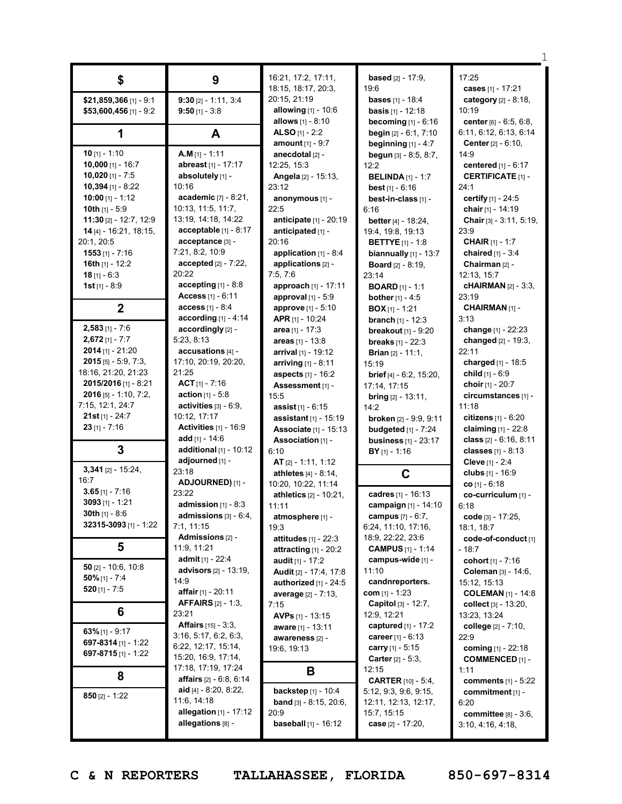|                          |                                  | 16:21, 17:2, 17:11,            | <b>based</b> $[2] - 17:9$ ,      | 17:25                        |
|--------------------------|----------------------------------|--------------------------------|----------------------------------|------------------------------|
| \$                       | 9                                | 18:15, 18:17, 20:3,            | 19:6                             | cases [1] - 17:21            |
| \$21,859,366 [1] - 9:1   | $9:30$ [2] - 1:11, 3:4           | 20:15, 21:19                   | <b>bases</b> [1] - 18:4          | category [2] - 8:18,         |
| $$53,600,456$ [1] - 9:2  | $9:50$ [1] - 3:8                 | allowing [1] - 10:6            | <b>basis</b> $[1] - 12:18$       | 10:19                        |
|                          |                                  | allows [1] - 8:10              |                                  | center [6] - 6:5, 6:8,       |
|                          |                                  | ALSO $[1] - 2:2$               | becoming $[1] - 6:16$            |                              |
| 1                        | A                                |                                | <b>begin</b> $[2] - 6:1, 7:10$   | 6:11, 6:12, 6:13, 6:14       |
|                          | $A.M$ [1] - 1:11                 | <b>amount</b> $[1] - 9:7$      | beginning $[1]$ - 4:7            | <b>Center</b> $[2] - 6:10$ , |
| 10 $[1] - 1:10$          |                                  | anecdotal [2] -                | begun [3] - 8:5, 8:7,            | 14:9                         |
| 10,000 $[1] - 16:7$      | abreast [1] - 17:17              | 12:25, 15:3                    | 12:2                             | centered [1] - 6:17          |
| $10,020$ [1] - 7:5       | absolutely [1] -                 | Angela [2] - 15:13,            | <b>BELINDA</b> $[1]$ - 1:7       | <b>CERTIFICATE [1] -</b>     |
| $10,394$ [1] - 8:22      | 10:16                            | 23:12                          | best $[1] - 6:16$                | 24:1                         |
| 10:00 [1] - 1:12         | <b>academic</b> $[7] - 8:21$ ,   | anonymous [1] -                | best-in-class [1] -              | certify [1] - 24:5           |
| 10th $[1] - 5:9$         | 10:13, 11:5, 11:7,               | 22:5                           | 6:16                             | chair [1] - 14:19            |
| 11:30 $[2] - 12:7, 12:9$ | 13:19, 14:18, 14:22              | anticipate [1] - 20:19         | better $[4] - 18:24$ ,           | Chair [3] - 3:11, 5:19,      |
| 14 [4] - 16:21, 18:15,   | acceptable $[1] - 8:17$          | anticipated [1] -              | 19:4, 19:8, 19:13                | 23:9                         |
| 20:1, 20:5               | acceptance [3] -                 | 20:16                          | <b>BETTYE</b> $[1] - 1:8$        | <b>CHAIR</b> $[1] - 1:7$     |
| $1553$ [1] - 7:16        | 7:21, 8:2, 10:9                  | application $[1] - 8:4$        | biannually $[1]$ - $13:7$        | chaired [1] - 3:4            |
| 16th $[1]$ - 12:2        | $accepted [2] - 7:22,$           | applications [2] -             | <b>Board</b> $[2] - 8:19$ ,      | Chairman [2] -               |
| $18$ [1] - 6:3           | 20:22                            | 7:5, 7:6                       | 23:14                            | 12:13, 15:7                  |
| 1st $[1] - 8:9$          | accepting $[1] - 8.8$            | approach [1] - 17:11           | <b>BOARD</b> $[1] - 1:1$         | <b>cHAIRMAN</b> [2] - 3:3,   |
|                          | Access $[1] - 6:11$              | approval [1] - 5:9             | <b>bother</b> $[1] - 4:5$        | 23:19                        |
| $\mathbf{2}$             | <b>access</b> $[1] - 8:4$        | approve [1] - 5:10             | $BOX[1] - 1:21$                  | CHAIRMAN [1] -               |
|                          | according $[1] - 4:14$           | APR [1] - 10:24                | <b>branch</b> $[1] - 12:3$       | 3:13                         |
| $2,583$ [1] - 7:6        | accordingly [2] -                | area $[1] - 17:3$              | breakout $[1]$ - $9:20$          | change [1] - 22:23           |
| $2,672$ [1] - 7:7        | 5:23, 8:13                       | areas $[1] - 13:8$             | <b>breaks</b> $[1] - 22:3$       | changed $[2] - 19:3$ ,       |
| $2014$ [1] - 21:20       | accusations [4] -                | arrival [1] - 19:12            | <b>Brian</b> $[2] - 11:1$ ,      | 22:11                        |
| $2015$ [5] - 5:9, 7:3,   | 17:10, 20:19, 20:20,             | arriving $[1] - 8:11$          | 15:19                            | charged [1] - 18:5           |
| 18:16, 21:20, 21:23      | 21:25                            | aspects [1] - 16:2             | <b>brief</b> $[4] - 6:2, 15:20,$ | child $[1] - 6:9$            |
| 2015/2016 [1] - 8:21     | $ACT$ [1] - 7:16                 | Assessment [1] -               | 17:14, 17:15                     | choir [1] - 20:7             |
| $2016$ [5] - 1:10, 7:2,  | <b>action</b> $[1] - 5:8$        | 15:5                           |                                  | circumstances [1] -          |
| 7:15, 12:1, 24:7         | activities $[3] - 6.9$ ,         |                                | <b>bring</b> $[2] - 13:11$ ,     | 11:18                        |
| $21st$ [1] - 24:7        | 10:12, 17:17                     | <b>assist</b> $[1] - 6:15$     | 14:2                             | citizens [1] - 6:20          |
| $23$ [1] - 7:16          | Activities [1] - 16:9            | <b>assistant</b> $[1]$ - 15:19 | broken [2] - 9:9, 9:11           |                              |
|                          | add $[1] - 14:6$                 | Associate [1] - 15:13          | budgeted $[1]$ - $7:24$          | claiming $[1] - 22.8$        |
| 3                        |                                  | Association [1] -              | <b>business</b> [1] - 23:17      | class $[2] - 6:16, 8:11$     |
|                          | additional $[1]$ - 10:12         | 6:10                           | $BY$ <sub>[1]</sub> - 1:16       | classes $[1] - 8:13$         |
| $3,341$ [2] - 15:24,     | adjourned [1] -<br>23:18         | AT $[2] - 1:11, 1:12$          |                                  | Cleve [1] - 2:4              |
| 16:7                     |                                  | athletes $[4] - 8:14$ ,        | C                                | clubs [1] - 16:9             |
| $3.65$ [1] - 7:16        | ADJOURNED) [1] -                 | 10:20, 10:22, 11:14            |                                  | $CO$ [1] - 6:18              |
| 3093 $[1]$ - 1:21        | 23:22                            | athletics [2] - 10:21,         | cadres [1] - 16:13               | co-curriculum [1] -          |
| 30th $[1] - 8:6$         | admission $[1] - 8:3$            | 11:11                          | campaign [1] - 14:10             | 6:18                         |
|                          | admissions $[3] - 6:4,$          | atmosphere [1] -               | campus $[7] - 6:7$ ,             | code [3] - 17:25,            |
| 32315-3093 [1] - 1:22    | 7:1, 11:15                       | 19:3                           | 6:24, 11:10, 17:16,              | 18:1, 18:7                   |
|                          | Admissions [2] -                 | attitudes $[1]$ - 22:3         | 18:9, 22:22, 23:6                | code-of-conduct [1]          |
| 5                        | 11:9, 11:21                      | attracting $[1]$ - 20:2        | <b>CAMPUS</b> [1] - 1:14         | - 18:7                       |
| $50$ [2] - 10:6, 10:8    | <b>admit</b> [1] - 22:4          | audit [1] - 17:2               | campus-wide [1] -                | cohort [1] - 7:16            |
|                          | <b>advisors</b> $[2] - 13:19$ ,  | Audit [2] - 17:4, 17:8         | 11:10                            | Coleman [3] - 14:6,          |
| $50\%$ [1] - 7:4         | 14:9                             | authorized [1] - 24:5          | candnreporters.                  | 15:12, 15:13                 |
| 520 $[1] - 7:5$          | affair [1] - 20:11               | <b>average</b> $[2] - 7:13$ ,  | com $[1] - 1:23$                 | <b>COLEMAN</b> [1] - 14:8    |
|                          | <b>AFFAIRS</b> $[2] - 1:3$       | 7:15                           | Capitol [3] - 12:7,              | collect $[3] - 13:20$ ,      |
| 6                        | 23:21                            | <b>AVPs</b> $[1]$ - 13:15      | 12:9, 12:21                      | 13:23, 13:24                 |
|                          | <b>Affairs</b> $[15] - 3:3$ ,    | aware [1] - 13:11              | captured [1] - 17:2              | college [2] - 7:10,          |
| 63% [1] - 9:17           | 3:16, 5:17, 6:2, 6:3,            | awareness [2] -                | career $[1] - 6:13$              | 22:9                         |
| 697-8314 [1] - 1:22      | 6:22, 12:17, 15:14,              | 19:6, 19:13                    | <b>carry</b> [1] - 5:15          | coming [1] - 22:18           |
| 697-8715 [1] - 1:22      | 15:20, 16:9, 17:14,              |                                | <b>Carter</b> $[2] - 5:3$ ,      | <b>COMMENCED [1] -</b>       |
|                          | 17:18, 17:19, 17:24              | В                              | 12:15                            | 1:11                         |
| 8                        | <b>affairs</b> $[2] - 6:8, 6:14$ |                                | <b>CARTER</b> [10] - 5:4,        | <b>comments</b> $[1] - 5:22$ |
|                          | aid [4] - 8:20, 8:22,            | backstep [1] - 10:4            | 5:12, 9:3, 9:6, 9:15,            | commitment [1] -             |
| $850$ [2] - 1:22         | 11:6, 14:18                      | band [3] - 8:15, 20:6,         | 12:11, 12:13, 12:17,             | 6:20                         |
|                          | allegation $[1] - 17:12$         | 20:9                           | 15:7, 15:15                      | committee $[8] - 3:6$ ,      |
|                          | allegations [8] -                | <b>baseball</b> $[1] - 16:12$  | case [2] - 17:20,                | 3:10, 4:16, 4:18,            |
|                          |                                  |                                |                                  |                              |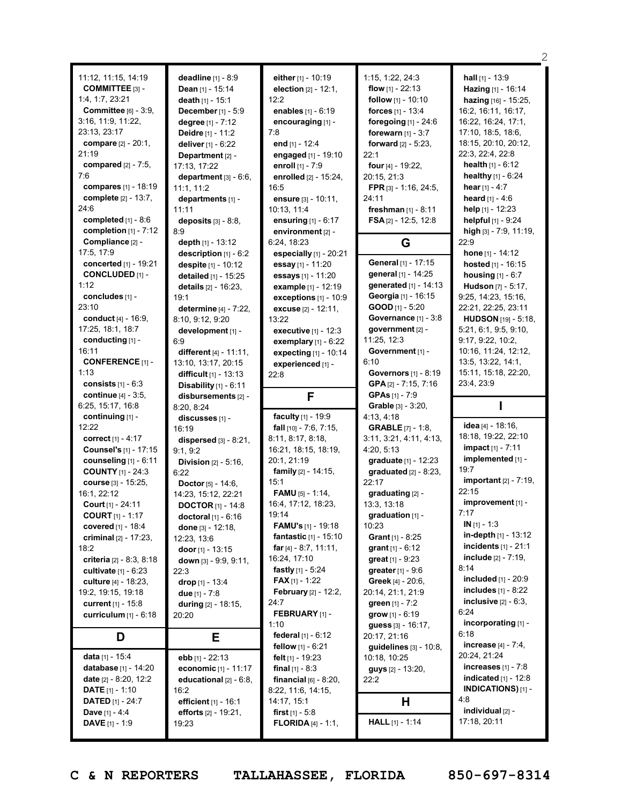|                                                |                                |                                                          |                             | 2                                             |
|------------------------------------------------|--------------------------------|----------------------------------------------------------|-----------------------------|-----------------------------------------------|
| 11:12, 11:15, 14:19                            | deadline [1] - 8:9             | either [1] - 10:19                                       | 1:15, 1:22, 24:3            | <b>hall</b> $[1]$ - 13:9                      |
| COMMITTEE [3] -                                | <b>Dean</b> $[1]$ - 15:14      | election [2] - 12:1,                                     | <b>flow</b> $[1] - 22:13$   | Hazing [1] - 16:14                            |
| 1:4, 1:7, 23:21                                | death $[1] - 15:1$             | 12:2                                                     | follow [1] - 10:10          | hazing [16] - 15:25,                          |
| Committee [6] - 3:9.                           |                                |                                                          |                             | 16:2, 16:11, 16:17,                           |
| 3:16, 11:9, 11:22,                             | December [1] - 5:9             | enables [1] - 6:19                                       | forces [1] - 13:4           |                                               |
|                                                | degree [1] - 7:12              | encouraging [1] -                                        | foregoing $[1]$ - 24:6      | 16:22, 16:24, 17:1,                           |
| 23:13, 23:17                                   | Deidre [1] - 11:2              | 7:8                                                      | forewarn $[1] - 3:7$        | 17:10, 18:5, 18:6,                            |
| compare [2] - 20:1,                            | deliver [1] - 6:22             | end $[1] - 12:4$                                         | forward $[2] - 5:23$ ,      | 18:15, 20:10, 20:12,                          |
| 21:19                                          | Department [2] -               | engaged [1] - 19:10                                      | 22:1                        | 22:3, 22:4, 22:8                              |
| compared $[2] - 7:5$ ,                         | 17:13, 17:22                   | enroll [1] - 7:9                                         | four [4] - 19:22,           | <b>health</b> $[1] - 6:12$                    |
| 7:6                                            | department $[3] - 6:6$ ,       | enrolled [2] - 15:24,                                    | 20:15, 21:3                 | healthy [1] - 6:24                            |
| compares [1] - 18:19                           | 11:1.11:2                      | 16:5                                                     | FPR [3] - 1:16, 24:5,       | hear $[1] - 4:7$                              |
| complete [2] - 13:7,                           | departments [1] -              | ensure [3] - 10:11,                                      | 24:11                       | heard [1] - 4:6                               |
| 24:6                                           | 11:11                          | 10:13, 11:4                                              | freshman $[1] - 8:11$       | help [1] - 12:23                              |
| completed $[1] - 8.6$                          | deposits $[3] - 8:8$ ,         | ensuring [1] - 6:17                                      | <b>FSA</b> [2] - 12:5, 12:8 | helpful [1] - 9:24                            |
| completion [1] - 7:12                          | 8:9                            | environment [2] -                                        |                             | high [3] - 7:9, 11:19,                        |
| Compliance [2] -                               | depth [1] - 13:12              | 6:24, 18:23                                              | G                           | 22:9                                          |
| 17:5, 17:9                                     | description [1] - 6:2          | especially $[1]$ - 20:21                                 |                             | hone $[1] - 14:12$                            |
| concerted [1] - 19:21                          | despite [1] - 10:12            | essay [1] - 11:20                                        | General [1] - 17:15         | hosted [1] - 16:15                            |
| <b>CONCLUDED [1] -</b>                         | detailed [1] - 15:25           | essays [1] - 11:20                                       | general [1] - 14:25         | <b>housing</b> $[1] - 6:7$                    |
| 1:12                                           | details [2] - 16:23,           | example [1] - 12:19                                      | generated [1] - 14:13       | Hudson [7] - 5:17,                            |
| concludes [1] -                                | 19:1                           | exceptions $[1]$ - $10:9$                                | Georgia [1] - 16:15         | 9:25, 14:23, 15:16,                           |
| 23:10                                          | determine [4] - 7:22,          | excuse [2] - 12:11,                                      | $GOOD$ [1] - 5:20           | 22:21, 22:25, 23:11                           |
| conduct $[4] - 16:9$ .                         | 8:10, 9:12, 9:20               | 13:22                                                    | Governance [1] - 3:8        | <b>HUDSON</b> [19] - 5:18,                    |
| 17:25, 18:1, 18:7                              | development [1] -              | executive [1] - 12:3                                     | government [2] -            | 5:21, 6:1, 9:5, 9:10,                         |
| conducting $[1]$ -                             | 6:9                            |                                                          | 11:25, 12:3                 | 9:17, 9:22, 10:2,                             |
| 16:11                                          |                                | exemplary $[1]$ - $6:22$                                 | Government [1] -            | 10:16, 11:24, 12:12,                          |
| <b>CONFERENCE</b> [1] -                        | different $[4] - 11:11$ ,      | expecting [1] - 10:14                                    | 6:10                        | 13:5, 13:22, 14:1,                            |
| 1:13                                           | 13:10, 13:17, 20:15            | experienced [1] -                                        | <b>Governors</b> [1] - 8:19 |                                               |
|                                                | difficult [1] - 13:13          | 22:8                                                     |                             | 15:11, 15:18, 22:20,                          |
| consists $[1] - 6:3$<br>continue [4] - 3:5,    | Disability $[1] - 6:11$        |                                                          | GPA $[2] - 7:15, 7:16$      | 23:4, 23:9                                    |
|                                                |                                |                                                          |                             |                                               |
|                                                | disbursements [2] -            | F                                                        | <b>GPAs</b> $[1] - 7:9$     |                                               |
| 6:25, 15:17, 16:8                              | 8:20, 8:24                     |                                                          | Grable [3] - 3:20,          |                                               |
| continuing [1] -                               | discusses [1] -                | faculty [1] - 19:9                                       | 4:13, 4:18                  |                                               |
| 12:22                                          | 16:19                          | fall [10] - 7:6, 7:15,                                   | <b>GRABLE</b> [7] - 1:8,    | idea [4] - 18:16,                             |
| <b>correct</b> [1] - 4:17                      | dispersed $[3] - 8:21$ ,       | 8:11, 8:17, 8:18,                                        | 3:11, 3:21, 4:11, 4:13,     | 18:18, 19:22, 22:10                           |
| Counsel's [1] - 17:15                          | 9:1, 9:2                       | 16:21, 18:15, 18:19,                                     | 4:20, 5:13                  | impact [1] - 7:11                             |
| counseling [1] - 6:11                          | <b>Division</b> $[2] - 5:16$ , | 20:1, 21:19                                              | graduate [1] - 12:23        | implemented [1] -                             |
| <b>COUNTY</b> [1] - 24:3                       | 6:22                           | <b>family</b> $[2] - 14:15$ ,                            | graduated $[2] - 8:23$ ,    | 19:7                                          |
| course [3] - 15:25,                            | <b>Doctor</b> $[5] - 14:6$ ,   | 15:1                                                     | 22:17                       | <b>important</b> [2] - 7:19,                  |
| 16:1, 22:12                                    | 14:23, 15:12, 22:21            | FAMU [5] - 1:14,                                         | graduating [2] -            | 22:15                                         |
| Court [1] - 24:11                              | <b>DOCTOR</b> $[1]$ - 14:8     | 16:4, 17:12, 18:23,                                      | 13:3, 13:18                 | improvement [1] -                             |
| <b>COURT</b> $[1] - 1:17$                      | doctoral [1] - 6:16            | 19:14                                                    | graduation [1] -            | 7:17                                          |
| covered [1] - 18:4                             | done [3] - 12:18,              | <b>FAMU's</b> [1] - 19:18                                | 10:23                       | $IN [1] - 1:3$                                |
| criminal $[2] - 17:23$ ,                       | 12:23, 13:6                    | fantastic [1] - 15:10                                    | <b>Grant</b> $[1] - 8:25$   | in-depth $[1]$ - 13:12                        |
| 18:2                                           | door $[1]$ - 13:15             | far $[4] - 8:7, 11:11,$                                  | grant $[1] - 6:12$          | incidents $[1] - 21:1$                        |
| criteria $[2] - 8:3, 8:18$                     |                                | 16:24, 17:10                                             | <b>great</b> $[1] - 9:23$   | <b>include</b> $[2] - 7:19$ ,                 |
| <b>cultivate</b> $[1] - 6:23$                  | down [3] - 9:9, 9:11,<br>22:3  | <b>fastly</b> $[1] - 5:24$                               | <b>greater</b> $[1] - 9:6$  | 8:14                                          |
| culture $[4] - 18:23$ ,                        | drop $[1] - 13:4$              | <b>FAX</b> [1] - 1:22                                    | <b>Greek</b> $[4] - 20:6$ , | <b>included</b> $[1] - 20:9$                  |
| 19:2, 19:15, 19:18                             |                                | <b>February</b> [2] - 12:2,                              | 20:14, 21:1, 21:9           | <b>includes</b> $[1] - 8:22$                  |
|                                                | due [1] - 7:8                  | 24:7                                                     |                             | inclusive $[2] - 6:3$ ,                       |
| <b>current</b> $[1] - 15:8$                    | during $[2] - 18:15$ ,         | <b>FEBRUARY</b> [1] -                                    | green $[1] - 7:2$           | 6:24                                          |
| curriculum [1] - 6:18                          | 20:20                          | 1:10                                                     | grow $[1] - 6:19$           | incorporating [1] -                           |
|                                                |                                |                                                          | guess [3] - 16:17,          | 6:18                                          |
| D                                              | Е                              | federal [1] - 6:12                                       | 20:17, 21:16                |                                               |
|                                                |                                | <b>fellow</b> $[1] - 6:21$                               | guidelines [3] - 10:8,      | <b>increase</b> $[4] - 7:4$ ,<br>20:24, 21:24 |
| data [1] - 15:4                                | ebb [1] - 22:13                | felt $[1]$ - 19:23                                       | 10:18, 10:25                | increases $[1] - 7:8$                         |
| database [1] - 14:20                           | economic [1] - 11:17           | <b>final</b> $[1] - 8:3$                                 | guys [2] - 13:20,           |                                               |
| date $[2] - 8:20, 12:2$                        | educational [2] - 6:8,         | financial $[6]$ - 8:20,                                  | 22:2                        | <b>indicated</b> $[1] - 12:8$                 |
| <b>DATE</b> [1] - 1:10                         | 16:2                           | 8:22, 11:6, 14:15,                                       |                             | <b>INDICATIONS)</b> [1] -                     |
| <b>DATED</b> $[1] - 24:7$                      | efficient [1] - 16:1           | 14:17, 15:1                                              | н                           | 4:8                                           |
| <b>Dave</b> [1] - 4:4<br><b>DAVE</b> [1] - 1:9 | efforts [2] - 19:21,<br>19:23  | <b>first</b> $[1] - 5.8$<br><b>FLORIDA</b> $[4] - 1:1$ , | <b>HALL</b> $[1] - 1:14$    | individual [2] -<br>17:18, 20:11              |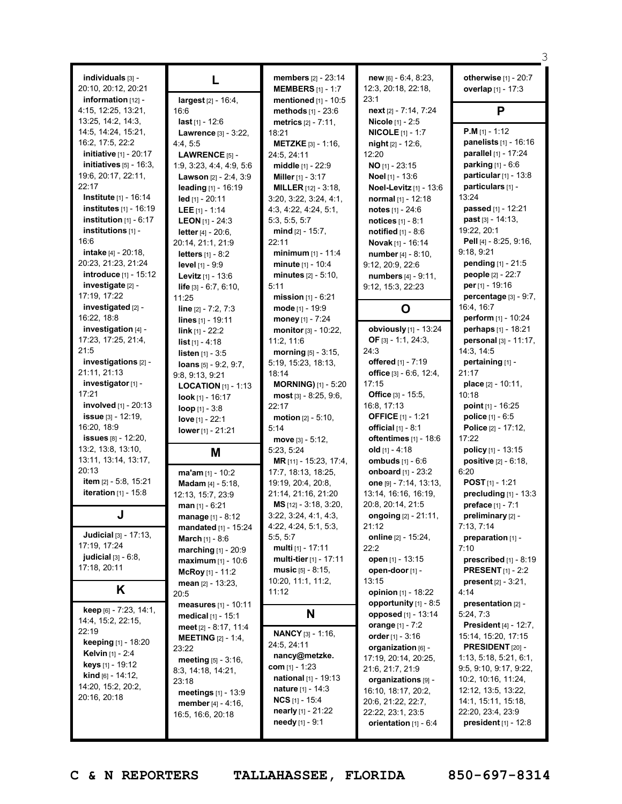| individuals [3] -<br>20:10, 20:12, 20:21              | L                                                       | <b>members</b> $[2] - 23:14$<br><b>MEMBERS</b> $[1] - 1:7$  | new [6] - 6:4, 8:23,<br>12:3, 20:18, 22:18, | otherwise [1] - 20:7<br>overlap [1] - 17:3   |
|-------------------------------------------------------|---------------------------------------------------------|-------------------------------------------------------------|---------------------------------------------|----------------------------------------------|
| information $[12]$ -<br>4:15, 12:25, 13:21,           | largest [2] - 16:4,<br>16:6                             | mentioned [1] - 10:5<br>methods [1] - 23:6                  | 23:1<br>next [2] - 7:14, 7:24               | P                                            |
| 13:25, 14:2, 14:3,                                    | last $[1] - 12:6$                                       | <b>metrics</b> $[2] - 7:11$ ,                               | Nicole [1] - 2:5                            |                                              |
| 14:5, 14:24, 15:21,                                   | Lawrence [3] - 3:22,                                    | 18:21                                                       | <b>NICOLE</b> $[1] - 1:7$                   | <b>P.M</b> $[1] - 1:12$                      |
| 16:2, 17:5, 22:2                                      | 4:4,5:5                                                 | <b>METZKE</b> [3] - 1:16,                                   | night [2] - 12:6,                           | panelists [1] - 16:16                        |
| <b>initiative</b> [1] - 20:17                         | <b>LAWRENCE</b> $[5]$ -                                 | 24:5, 24:11                                                 | 12:20                                       | parallel [1] - 17:24                         |
| initiatives $[5]$ - 16:3,<br>19:6, 20:17, 22:11,      | 1:9, 3:23, 4:4, 4:9, 5:6                                | middle [1] - 22:9                                           | $NO$ [1] - 23:15<br>Noel [1] - 13:6         | parking [1] - 6:6<br>particular $[1]$ - 13:8 |
| 22:17                                                 | <b>Lawson</b> $[2] - 2:4, 3:9$<br>leading $[1] - 16:19$ | Miller $[1] - 3:17$<br><b>MILLER</b> $[12] - 3:18$          | Noel-Levitz [1] - 13:6                      | particulars [1] -                            |
| <b>Institute</b> [1] - 16:14                          | led [1] - 20:11                                         | 3:20, 3:22, 3:24, 4:1,                                      | normal [1] - 12:18                          | 13:24                                        |
| institutes [1] - 16:19                                | LEE $[1] - 1:14$                                        | 4:3, 4:22, 4:24, 5:1,                                       | notes $[1] - 24:6$                          | passed [1] - 12:21                           |
| institution $[1] - 6:17$                              | <b>LEON</b> [1] - 24:3                                  | 5:3, 5:5, 5:7                                               | <b>notices</b> $[1] - 8:1$                  | <b>past</b> $[3] - 14:13$ ,                  |
| institutions [1] -                                    | <b>letter</b> $[4] - 20:6$ ,                            | mind [2] - 15:7,                                            | notified $[1] - 8.6$                        | 19:22, 20:1                                  |
| 16:6                                                  | 20:14, 21:1, 21:9                                       | 22:11                                                       | Novak [1] - 16:14                           | Pell [4] - 8:25, 9:16,                       |
| <b>intake</b> [4] - 20:18,                            | <b>letters</b> $[1] - 8:2$                              | minimum $[1] - 11:4$                                        | number [4] - 8:10,                          | 9:18, 9:21                                   |
| 20:23, 21:23, 21:24                                   | <b>level</b> [1] - 9:9                                  | minute [1] - 10:4                                           | 9:12, 20:9, 22:6                            | pending [1] - 21:5                           |
| introduce [1] - 15:12                                 | Levitz [1] - 13:6                                       | minutes [2] - 5:10,                                         | numbers [4] - 9:11,                         | people [2] - 22:7                            |
| investigate [2] -                                     | life $[3] - 6:7, 6:10,$                                 | 5:11                                                        | 9:12, 15:3, 22:23                           | <b>per</b> $[1]$ - 19:16                     |
| 17:19, 17:22<br>investigated [2] -                    | 11:25                                                   | <b>mission</b> $[1]$ - $6:21$                               |                                             | percentage [3] - 9:7,<br>16:4, 16:7          |
| 16:22, 18:8                                           | line $[2] - 7:2, 7:3$                                   | mode [1] - 19:9                                             | O                                           | <b>perform</b> $[1] - 10:24$                 |
| investigation [4] -                                   | lines $[1] - 19:11$<br>$link_{[1]} - 22:2$              | money [1] - 7:24<br>monitor [3] - 10:22,                    | obviously [1] - 13:24                       | perhaps [1] - 18:21                          |
| 17:23, 17:25, 21:4,                                   | <b>list</b> $[1] - 4:18$                                | 11:2, 11:6                                                  | OF $[3] - 1:1, 24:3,$                       | personal [3] - 11:17,                        |
| 21:5                                                  | <b>listen</b> $[1] - 3:5$                               | morning $[5] - 3:15$ ,                                      | 24:3                                        | 14:3, 14:5                                   |
| investigations [2] -                                  | loans $[5] - 9:2, 9:7,$                                 | 5:19, 15:23, 18:13,                                         | offered [1] - 7:19                          | pertaining [1] -                             |
| 21:11, 21:13                                          | 9:8, 9:13, 9:21                                         | 18:14                                                       | office [3] - 6:6, 12:4,                     | 21:17                                        |
| investigator [1] -                                    | <b>LOCATION</b> $[1]$ - 1:13                            | <b>MORNING)</b> [1] - 5:20                                  | 17:15                                       | <b>place</b> $[2] - 10:11$ ,                 |
| 17:21                                                 | look $[1]$ - 16:17                                      | $most$ [3] - 8:25, 9:6,                                     | <b>Office</b> $[3] - 15:5$ ,                | 10:18                                        |
| <b>involved</b> [1] - 20:13                           | $loop$ [1] - 3:8                                        | 22:17                                                       | 16:8, 17:13                                 | point $[1] - 16:25$                          |
| issue $[3] - 12:19$ ,                                 | love [1] - 22:1                                         | <b>motion</b> $[2] - 5:10$ ,                                | <b>OFFICE</b> [1] - 1:21                    | police [1] - 6:5                             |
| 16:20, 18:9                                           | lower [1] - 21:21                                       | 5:14                                                        | official $[1] - 8:1$                        | Police [2] - 17:12,                          |
| <b>issues</b> $[8] - 12:20$ ,<br>13:2, 13:8, 13:10,   |                                                         | move $[3] - 5:12$ ,                                         | oftentimes [1] - 18:6<br>old $[1] - 4:18$   | 17:22<br><b>policy</b> $[1]$ - 13:15         |
| 13:11, 13:14, 13:17,                                  | M                                                       | 5:23, 5:24<br>MR [11] - 15:23, 17:4,                        | ombuds [1] - 6:6                            | <b>positive</b> $[2] - 6:18$ ,               |
| 20:13                                                 | ma'am [1] - 10:2                                        | 17:7, 18:13, 18:25,                                         | onboard [1] - 23:2                          | 6:20                                         |
| item [2] - 5:8, 15:21                                 | <b>Madam</b> $[4] - 5:18$ ,                             | 19:19, 20:4, 20:8,                                          | one $[9] - 7:14, 13:13,$                    | <b>POST</b> $[1] - 1:21$                     |
| <b>iteration</b> $[1] - 15:8$                         | 12:13, 15:7, 23:9                                       | 21:14, 21:16, 21:20                                         | 13:14, 16:16, 16:19,                        | precluding [1] - 13:3                        |
|                                                       | $man$ [1] - 6:21                                        | MS [12] - 3:18, 3:20,                                       | 20:8, 20:14, 21:5                           | preface [1] - 7:1                            |
|                                                       | manage [1] - 8:12                                       | 3:22, 3:24, 4:1, 4:3,                                       | <b>ongoing</b> [2] - 21:11,                 | preliminary [2] -                            |
|                                                       | mandated [1] - 15:24                                    | 4:22, 4:24, 5:1, 5:3,                                       | 21:12                                       | 7:13, 7:14                                   |
| <b>Judicial</b> $[3] - 17:13$                         | March [1] - 8:6                                         | 5:5, 5:7                                                    | online [2] - 15:24,                         | preparation [1] -                            |
| 17:19, 17:24<br>judicial $[3] - 6.8$ ,                | marching [1] - 20:9                                     | multi [1] - 17:11                                           | 22:2                                        | 7:10                                         |
| 17:18, 20:11                                          | maximum [1] - 10:6                                      | <b>multi-tier</b> [1] - 17:11                               | open [1] - 13:15                            | <b>prescribed</b> $[1]$ - 8:19               |
|                                                       | McRoy $[1] - 11:2$                                      | <b>music</b> $[5] - 8:15$ ,<br>10:20, 11:1, 11:2,           | open-door [1] -<br>13:15                    | <b>PRESENT</b> $[1]$ - 2:2                   |
| K                                                     | mean $[2] - 13:23$                                      | 11:12                                                       | opinion [1] - 18:22                         | <b>present</b> $[2] - 3:21$ ,<br>4:14        |
|                                                       | 20:5<br>measures [1] - 10:11                            |                                                             | opportunity $[1]$ - 8:5                     | presentation [2] -                           |
| keep [6] - 7:23, 14:1,                                | <b>medical</b> $[1] - 15:1$                             | N                                                           | <b>opposed</b> [1] - 13:14                  | 5:24, 7:3                                    |
| 14:4, 15:2, 22:15,                                    | meet [2] - 8:17, 11:4                                   |                                                             | orange [1] - 7:2                            | <b>President</b> [4] - 12:7,                 |
| 22:19                                                 | <b>MEETING</b> $[2] - 1:4$                              | <b>NANCY</b> [3] - 1:16,                                    | order $[1] - 3:16$                          | 15:14, 15:20, 17:15                          |
| <b>keeping</b> [1] - 18:20<br><b>Kelvin</b> [1] - 2:4 | 23:22                                                   | 24:5, 24:11                                                 | organization [6] -                          | <b>PRESIDENT</b> $[20]$ -                    |
| keys [1] - 19:12                                      | <b>meeting</b> $[5] - 3:16$ ,                           | nancy@metzke.                                               | 17:19, 20:14, 20:25,                        | 1:13, 5:18, 5:21, 6:1,                       |
| <b>kind</b> $[6] - 14:12$ ,                           | 8:3, 14:18, 14:21,                                      | com $[1] - 1:23$                                            | 21:6, 21:7, 21:9                            | 9:5, 9:10, 9:17, 9:22,                       |
| 14:20, 15:2, 20:2,                                    | 23:18                                                   | <b>national</b> $[1]$ - 19:13<br><b>nature</b> $[1] - 14:3$ | organizations [9] -                         | 10:2, 10:16, 11:24,                          |
| 20:16, 20:18                                          | <b>meetings</b> $[1] - 13:9$                            | <b>NCS</b> $[1]$ - 15:4                                     | 16:10, 18:17, 20:2,                         | 12:12, 13:5, 13:22,<br>14:1, 15:11, 15:18,   |
|                                                       | <b>member</b> $[4] - 4:16$ ,                            | <b>nearly</b> [1] - $21:22$                                 | 20:6, 21:22, 22:7,<br>22:22, 23:1, 23:5     | 22:20, 23:4, 23:9                            |
|                                                       | 16:5, 16:6, 20:18                                       | needy [1] - 9:1                                             | orientation [1] - 6:4                       | <b>president</b> $[1]$ - 12:8                |
|                                                       |                                                         |                                                             |                                             |                                              |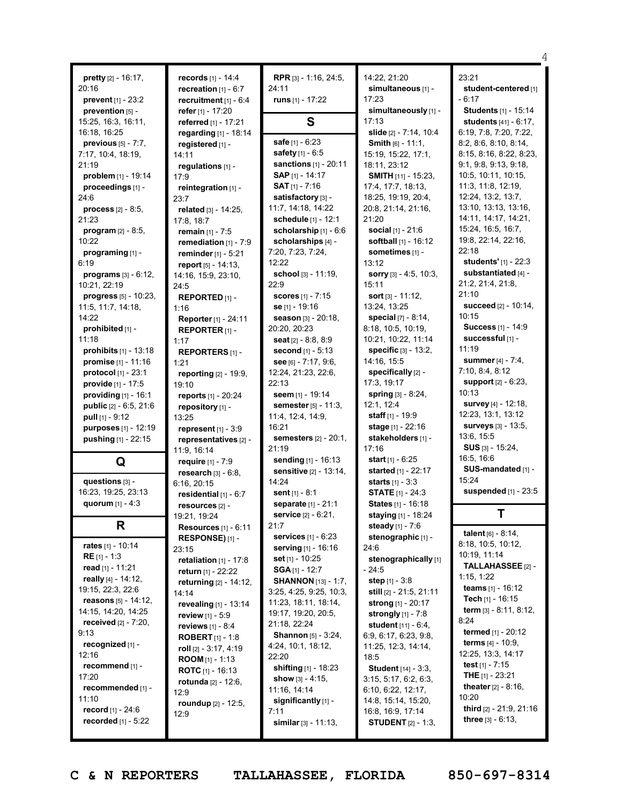|                                                   |                                 |                                 |                                | 4                                             |
|---------------------------------------------------|---------------------------------|---------------------------------|--------------------------------|-----------------------------------------------|
| <b>pretty</b> $[2] - 16:17$ ,                     | <b>records</b> $[1] - 14:4$     | <b>RPR</b> $[3] - 1:16$ , 24:5, | 14:22, 21:20                   | 23:21                                         |
| 20:16                                             | recreation $[1] - 6:7$          | 24:11                           | simultaneous [1] -             | student-centered [1]                          |
| <b>prevent</b> $[1] - 23:2$                       | recruitment [1] - 6:4           | runs $[1] - 17:22$              | 17:23                          | $-6:17$                                       |
| prevention [5] -                                  | refer $[1] - 17:20$             |                                 | simultaneously [1] -           | Students [1] - 15:14                          |
| 15:25, 16:3, 16:11,                               | referred [1] - 17:21            | S                               | 17:13                          | students [41] - 6:17,                         |
| 16:18, 16:25                                      | regarding [1] - 18:14           |                                 | slide [2] - 7:14, 10:4         | 6:19, 7:8, 7:20, 7:22,                        |
| previous [5] - 7:7,                               | registered [1] -                | safe [1] - 6:23                 | <b>Smith</b> $[6] - 11:1,$     | 8:2, 8:6, 8:10, 8:14,                         |
| 7:17, 10:4, 18:19,                                | 14:11                           | safety [1] - 6:5                | 15:19, 15:22, 17:1,            | 8:15, 8:16, 8:22, 8:23,                       |
| 21:19                                             | regulations [1] -               | sanctions $[1] - 20:11$         | 18:11, 23:12                   | 9:1, 9:8, 9:13, 9:18,                         |
| problem $[1] - 19:14$                             | 17:9                            | SAP [1] - 14:17                 | SMITH [11] - 15:23,            | 10:5, 10:11, 10:15,                           |
| proceedings [1] -                                 | reintegration [1] -             | <b>SAT</b> $[1]$ - 7:16         | 17:4, 17:7, 18:13,             | 11:3, 11:8, 12:19,                            |
| 24:6                                              | 23:7                            | satisfactory [3] -              | 18:25, 19:19, 20:4,            | 12:24, 13:2, 13:7,                            |
| <b>process</b> $[2] - 8:5,$                       | related [3] - 14:25,            | 11:7, 14:18, 14:22              | 20:8, 21:14, 21:16,            | 13:10, 13:13, 13:16,                          |
| 21:23                                             | 17:8, 18:7                      | schedule [1] - 12:1             | 21:20                          | 14:11, 14:17, 14:21,                          |
| program [2] - 8:5,                                | remain [1] - 7:5                | scholarship [1] - 6:6           | <b>social</b> $[1] - 21:6$     | 15:24, 16:5, 16:7,                            |
| 10:22                                             | remediation $[1] - 7:9$         | scholarships [4] -              | softball [1] - 16:12           | 19:8, 22:14, 22:16,                           |
| programing [1] -                                  | reminder [1] - 5:21             | 7:20, 7:23, 7:24,               | sometimes [1] -                | 22:18                                         |
| 6:19                                              | report [5] - 14:13,             | 12:22                           | 13:12                          | students' [1] - 22:3                          |
| <b>programs</b> $[3] - 6:12$ ,                    | 14:16, 15:9, 23:10,             | school [3] - 11:19,             | sorry $[3] - 4:5, 10:3,$       | substantiated [4] -                           |
| 10:21, 22:19                                      | 24:5                            | 22:9                            | 15:11                          | 21:2, 21:4, 21:8,                             |
| <b>progress</b> $[5] - 10:23$ ,                   | REPORTED [1] -                  | <b>scores</b> [1] - 7:15        | <b>sort</b> $[3] - 11:12$ ,    | 21:10                                         |
| 11:5, 11:7, 14:18,                                | 1:16                            | se [1] - 19:16                  | 13:24, 13:25                   | succeed [2] - 10:14,                          |
| 14:22                                             | Reporter [1] - 24:11            | season [3] - 20:18,             | special [7] - 8:14,            | 10:15                                         |
| prohibited [1] -                                  | <b>REPORTER</b> $[1]$ -         | 20:20, 20:23                    | 8:18, 10:5, 10:19,             | Success [1] - 14:9                            |
| 11:18                                             | 1:17                            | seat [2] - 8:8, 8:9             | 10:21, 10:22, 11:14            | successful [1] -                              |
| prohibits [1] - 13:18                             | REPORTERS [1] -                 | second [1] - 5:13               | <b>specific</b> $[3] - 13:2$ , | 11:19                                         |
| promise [1] - 11:16                               | 1:21                            | see [6] - 7:17, 9:6,            | 14:16, 15:5                    | <b>summer</b> [4] - 7:4,                      |
| protocol $[1] - 23:1$                             | reporting [2] - 19:9,           | 12:24, 21:23, 22:6,             | specifically [2] -             | 7:10, 8:4, 8:12                               |
| provide [1] - 17:5                                | 19:10                           | 22:13                           | 17:3, 19:17                    | support [2] - 6:23,                           |
| providing [1] - 16:1                              | reports [1] - 20:24             | seem [1] - 19:14                | <b>spring</b> $[3] - 8:24$ ,   | 10:13                                         |
| public [2] - 6:5, 21:6                            | repository [1] -                | semester [5] - 11:3,            | 12:1, 12:4                     | survey [4] - 12:18,                           |
| pull $[1] - 9:12$                                 | 13:25                           | 11:4, 12:4, 14:9,               | staff $[1] - 19:9$             | 12:23, 13:1, 13:12                            |
| purposes [1] - 12:19                              | represent $[1]$ - 3:9           | 16:21                           | stage [1] - 22:16              | surveys [3] - 13:5,                           |
| pushing [1] - 22:15                               | representatives [2] -           | <b>semesters</b> [2] - 20:1,    | stakeholders [1] -             | 13:6, 15:5                                    |
|                                                   | 11:9, 16:14                     | 21:19                           | 17:16                          | SUS [3] - 15:24,                              |
| Q                                                 | require $[1] - 7:9$             | sending [1] - 16:13             | <b>start</b> $[1] - 6:25$      | 16:5, 16:6                                    |
|                                                   | research $[3] - 6.8$ ,          | <b>sensitive</b> [2] - 13:14,   | started [1] - 22:17            | SUS-mandated [1] -                            |
| questions [3] -                                   | 6:16, 20:15                     | 14:24                           | <b>starts</b> $[1] - 3:3$      | 15:24                                         |
| 16:23, 19:25, 23:13                               | residential $[1] - 6:7$         | sent $[1] - 8:1$                | <b>STATE</b> $[1]$ - 24:3      | suspended [1] - 23:5                          |
| quorum [1] - 4:3                                  | resources [2] -                 | <b>separate</b> [1] - 21:1      | States [1] - 16:18             |                                               |
|                                                   | 19:21, 19:24                    | <b>service</b> [2] - 6:21,      | staying [1] - 18:24            | Τ                                             |
| R                                                 | <b>Resources</b> $[1]$ - $6:11$ | 21:7                            | steady [1] - 7:6               |                                               |
|                                                   | <b>RESPONSE)</b> $[1]$ -        | services [1] - 6:23             | stenographic [1] -             | talent $[6] - 8:14$ ,                         |
| rates $[1] - 10:14$                               | 23:15                           | serving [1] - 16:16             | 24:6                           | 8:18, 10:5, 10:12,                            |
| <b>RE</b> $[1] - 1:3$                             | retaliation $[1] - 17:8$        | <b>set</b> [1] - 10:25          | stenographically [1]           | 10:19, 11:14                                  |
| read $[1] - 11:21$                                | <b>return</b> [1] - 22:22       | <b>SGA</b> [1] - 12:7           | - 24:5                         | TALLAHASSEE [2] -                             |
| really [4] - 14:12,                               | returning [2] - 14:12,          | <b>SHANNON</b> [13] - 1:7,      | step $[1] - 3.8$               | 1:15, 1:22                                    |
| 19:15, 22:3, 22:6                                 | 14:14                           | 3:25, 4:25, 9:25, 10:3,         | still [2] - 21:5, 21:11        | <b>teams</b> $[1] - 16:12$                    |
| <b>reasons</b> $[5] - 14:12$ ,                    | revealing [1] - 13:14           | 11:23, 18:11, 18:14,            | strong [1] - 20:17             | Tech [1] - 16:15                              |
| 14:15, 14:20, 14:25                               | review [1] - 5:9                | 19:17, 19:20, 20:5,             | strongly $[1] - 7.8$           | <b>term</b> $[3] - 8:11, 8:12,$               |
| <b>received</b> $[2] - 7:20$ ,                    | reviews $[1] - 8:4$             | 21:18, 22:24                    | student $[11] - 6:4$ ,         | 8:24<br>termed [1] - 20:12                    |
| 9:13                                              | <b>ROBERT</b> $[1]$ - 1:8       | <b>Shannon</b> [5] - 3:24,      | 6:9, 6:17, 6:23, 9:8,          | <b>terms</b> $[4] - 10:9$ ,                   |
| recognized [1] -                                  | roll $[2] - 3:17, 4:19$         | 4:24, 10:1, 18:12,              | 11:25, 12:3, 14:14,            | 12:25, 13:3, 14:17                            |
| 12:16                                             | <b>ROOM</b> $[1] - 1:13$        | 22:20                           | 18:5                           |                                               |
| recommend [1] -                                   | <b>ROTC</b> $[1]$ - 16:13       | shifting [1] - 18:23            | <b>Student</b> [14] - 3:3,     | test $[1] - 7:15$<br><b>THE</b> $[1] - 23:21$ |
| 17:20                                             | <b>rotunda</b> $[2] - 12:6$ ,   | show $[3] - 4:15$ ,             | 3:15, 5:17, 6:2, 6:3,          | <b>theater</b> $[2] - 8:16$ ,                 |
| recommended [1] -                                 | 12:9                            | 11:16, 14:14                    | 6:10, 6:22, 12:17,             | 10:20                                         |
| 11:10                                             | roundup [2] - 12:5,             | significantly [1] -             | 14:8, 15:14, 15:20,            | third [2] - 21:9, 21:16                       |
| record [1] - 24:6<br><b>recorded</b> $[1] - 5:22$ | 12:9                            | 7:11                            | 16:8, 16:9, 17:14              | three $[3] - 6:13$ ,                          |
|                                                   |                                 | similar $[3] - 11:13$ ,         | <b>STUDENT</b> [2] - 1:3,      |                                               |